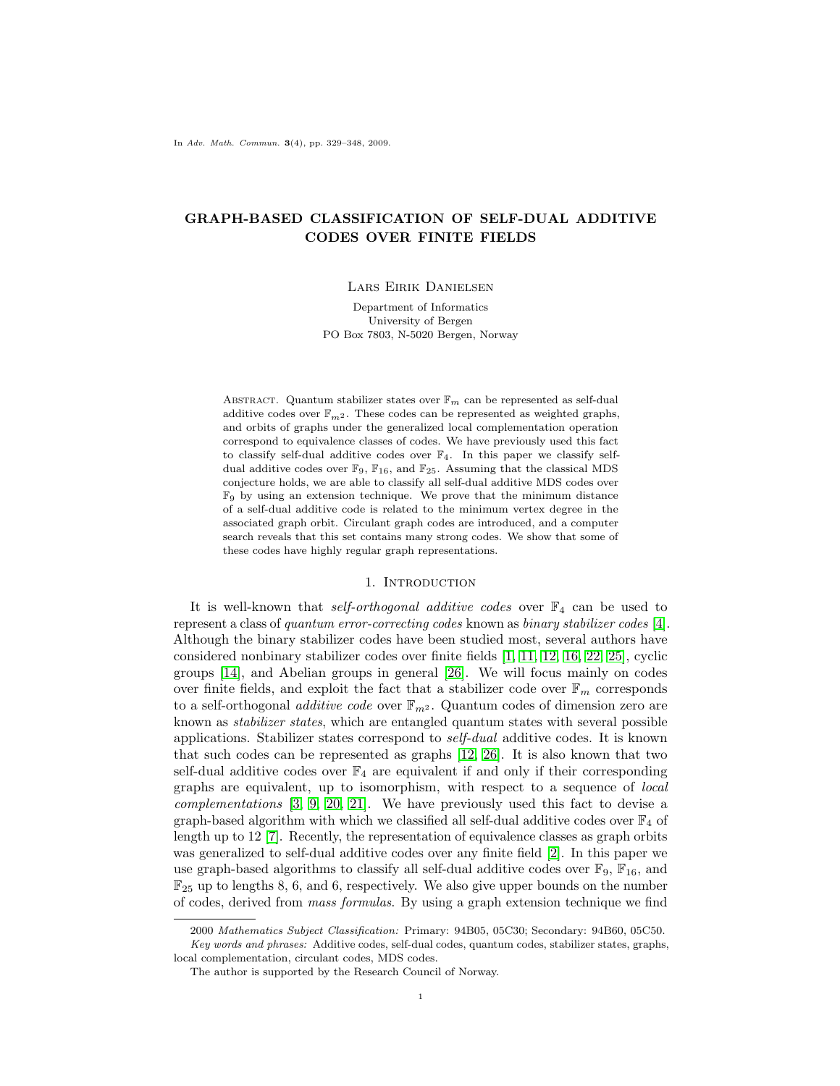In Adv. Math. Commun. 3(4), pp. 329–348, 2009.

# GRAPH-BASED CLASSIFICATION OF SELF-DUAL ADDITIVE CODES OVER FINITE FIELDS

### Lars Eirik Danielsen

Department of Informatics University of Bergen PO Box 7803, N-5020 Bergen, Norway

ABSTRACT. Quantum stabilizer states over  $\mathbb{F}_m$  can be represented as self-dual additive codes over  $\mathbb{F}_{m^2}.$  These codes can be represented as weighted graphs, and orbits of graphs under the generalized local complementation operation correspond to equivalence classes of codes. We have previously used this fact to classify self-dual additive codes over  $\mathbb{F}_4$ . In this paper we classify selfdual additive codes over  $\mathbb{F}_9,$   $\mathbb{F}_{16},$  and  $\mathbb{F}_{25}.$  Assuming that the classical MDS conjecture holds, we are able to classify all self-dual additive MDS codes over  $\mathbb{F}_9$  by using an extension technique. We prove that the minimum distance of a self-dual additive code is related to the minimum vertex degree in the associated graph orbit. Circulant graph codes are introduced, and a computer search reveals that this set contains many strong codes. We show that some of these codes have highly regular graph representations.

### 1. INTRODUCTION

It is well-known that self-orthogonal additive codes over  $\mathbb{F}_4$  can be used to represent a class of quantum error-correcting codes known as binary stabilizer codes [\[4\]](#page-18-0). Although the binary stabilizer codes have been studied most, several authors have considered nonbinary stabilizer codes over finite fields [\[1,](#page-18-1) [11,](#page-18-2) [12,](#page-18-3) [16,](#page-19-0) [22,](#page-19-1) [25\]](#page-19-2), cyclic groups [\[14\]](#page-19-3), and Abelian groups in general [\[26\]](#page-19-4). We will focus mainly on codes over finite fields, and exploit the fact that a stabilizer code over  $\mathbb{F}_m$  corresponds to a self-orthogonal *additive code* over  $\mathbb{F}_{m^2}$ . Quantum codes of dimension zero are known as stabilizer states, which are entangled quantum states with several possible applications. Stabilizer states correspond to self-dual additive codes. It is known that such codes can be represented as graphs [\[12,](#page-18-3) [26\]](#page-19-4). It is also known that two self-dual additive codes over  $\mathbb{F}_4$  are equivalent if and only if their corresponding graphs are equivalent, up to isomorphism, with respect to a sequence of local complementations [\[3,](#page-18-4) [9,](#page-18-5) [20,](#page-19-5) [21\]](#page-19-6). We have previously used this fact to devise a graph-based algorithm with which we classified all self-dual additive codes over  $\mathbb{F}_4$  of length up to 12 [\[7\]](#page-18-6). Recently, the representation of equivalence classes as graph orbits was generalized to self-dual additive codes over any finite field [\[2\]](#page-18-7). In this paper we use graph-based algorithms to classify all self-dual additive codes over  $\mathbb{F}_9$ ,  $\mathbb{F}_{16}$ , and  $\mathbb{F}_{25}$  up to lengths 8, 6, and 6, respectively. We also give upper bounds on the number of codes, derived from mass formulas. By using a graph extension technique we find

<sup>2000</sup> Mathematics Subject Classification: Primary: 94B05, 05C30; Secondary: 94B60, 05C50. Key words and phrases: Additive codes, self-dual codes, quantum codes, stabilizer states, graphs, local complementation, circulant codes, MDS codes.

The author is supported by the Research Council of Norway.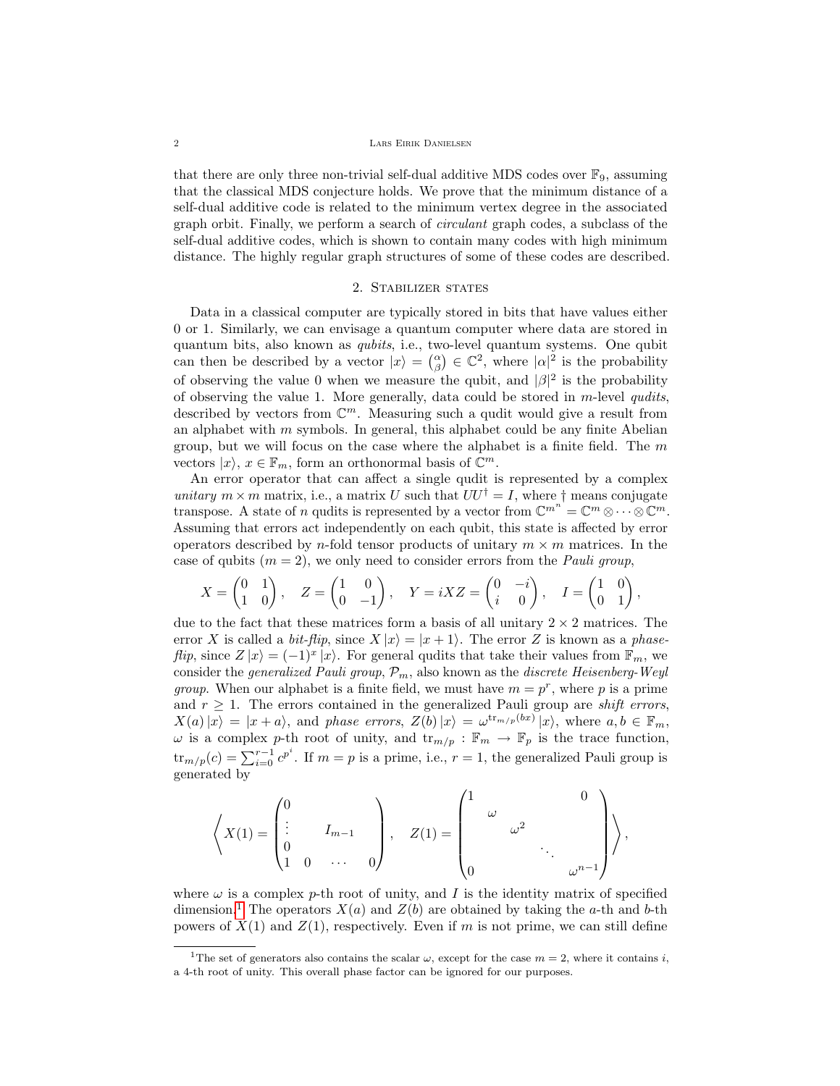### 2 Lars Eirik Danielsen

that there are only three non-trivial self-dual additive MDS codes over  $\mathbb{F}_9$ , assuming that the classical MDS conjecture holds. We prove that the minimum distance of a self-dual additive code is related to the minimum vertex degree in the associated graph orbit. Finally, we perform a search of circulant graph codes, a subclass of the self-dual additive codes, which is shown to contain many codes with high minimum distance. The highly regular graph structures of some of these codes are described.

# 2. Stabilizer states

Data in a classical computer are typically stored in bits that have values either 0 or 1. Similarly, we can envisage a quantum computer where data are stored in quantum bits, also known as qubits, i.e., two-level quantum systems. One qubit can then be described by a vector  $|x\rangle = \binom{\alpha}{\beta} \in \mathbb{C}^2$ , where  $|\alpha|^2$  is the probability of observing the value 0 when we measure the qubit, and  $|\beta|^2$  is the probability of observing the value 1. More generally, data could be stored in m-level qudits, described by vectors from  $\mathbb{C}^m$ . Measuring such a qudit would give a result from an alphabet with  $m$  symbols. In general, this alphabet could be any finite Abelian group, but we will focus on the case where the alphabet is a finite field. The  $m$ vectors  $|x\rangle, x \in \mathbb{F}_m$ , form an orthonormal basis of  $\mathbb{C}^m$ .

An error operator that can affect a single qudit is represented by a complex unitary  $m \times m$  matrix, i.e., a matrix U such that  $UU^{\dagger} = I$ , where  $\dagger$  means conjugate transpose. A state of *n* qudits is represented by a vector from  $\mathbb{C}^{m^n} = \mathbb{C}^m \otimes \cdots \otimes \mathbb{C}^m$ . Assuming that errors act independently on each qubit, this state is affected by error operators described by n-fold tensor products of unitary  $m \times m$  matrices. In the case of qubits  $(m = 2)$ , we only need to consider errors from the *Pauli group*,

$$
X = \begin{pmatrix} 0 & 1 \\ 1 & 0 \end{pmatrix}, \quad Z = \begin{pmatrix} 1 & 0 \\ 0 & -1 \end{pmatrix}, \quad Y = iXZ = \begin{pmatrix} 0 & -i \\ i & 0 \end{pmatrix}, \quad I = \begin{pmatrix} 1 & 0 \\ 0 & 1 \end{pmatrix},
$$

due to the fact that these matrices form a basis of all unitary  $2 \times 2$  matrices. The error X is called a *bit-flip*, since  $X |x\rangle = |x + 1\rangle$ . The error Z is known as a *phase*flip, since  $Z|x\rangle = (-1)^x |x\rangle$ . For general qudits that take their values from  $\mathbb{F}_m$ , we consider the *generalized Pauli group*,  $\mathcal{P}_m$ , also known as the *discrete Heisenberg-Weyl group*. When our alphabet is a finite field, we must have  $m = p^r$ , where p is a prime and  $r > 1$ . The errors contained in the generalized Pauli group are *shift errors*,  $X(a)|x\rangle = |x+a\rangle$ , and phase errors,  $Z(b)|x\rangle = \omega^{\text{tr}_{m/p}(bx)}|x\rangle$ , where  $a, b \in \mathbb{F}_m$ ,  $\omega$  is a complex p-th root of unity, and  $\text{tr}_{m/p} : \mathbb{F}_m \to \mathbb{F}_p$  is the trace function,  $\text{tr}_{m/p}(c) = \sum_{i=0}^{r-1} c^{p^i}$ . If  $m = p$  is a prime, i.e.,  $r = 1$ , the generalized Pauli group is generated by

$$
\left\langle X(1) = \begin{pmatrix} 0 & & & \\ \vdots & & I_{m-1} & \\ 0 & & & \\ 1 & 0 & \cdots & 0 \end{pmatrix}, \quad Z(1) = \begin{pmatrix} 1 & & & & 0 \\ & \omega & & & \\ & & \omega^2 & & \\ & & & \ddots & \\ 0 & & & & \omega^{n-1} \end{pmatrix} \right\rangle,
$$

where  $\omega$  is a complex p-th root of unity, and I is the identity matrix of specified dimension.<sup>[1](#page-1-0)</sup> The operators  $X(a)$  and  $Z(b)$  are obtained by taking the a-th and b-th powers of  $X(1)$  and  $Z(1)$ , respectively. Even if m is not prime, we can still define

<span id="page-1-0"></span><sup>&</sup>lt;sup>1</sup>The set of generators also contains the scalar  $\omega$ , except for the case  $m = 2$ , where it contains *i*, a 4-th root of unity. This overall phase factor can be ignored for our purposes.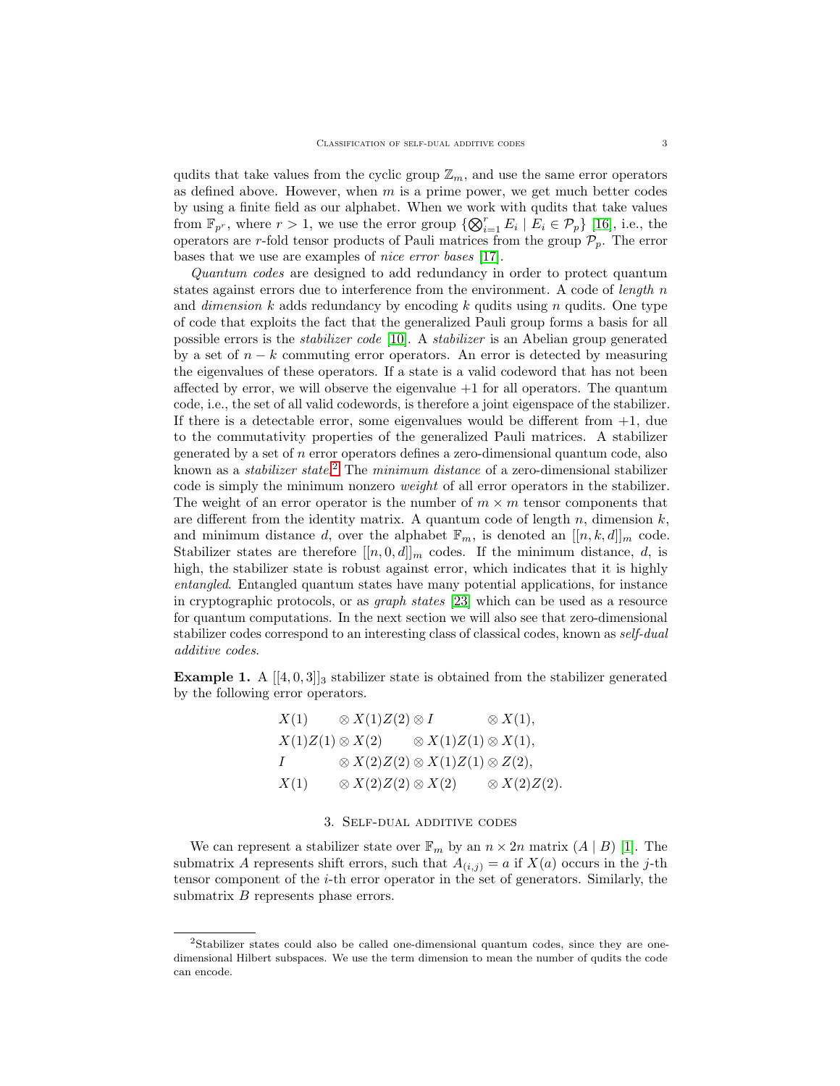qudits that take values from the cyclic group  $\mathbb{Z}_m$ , and use the same error operators as defined above. However, when  $m$  is a prime power, we get much better codes by using a finite field as our alphabet. When we work with qudits that take values from  $\mathbb{F}_{p^r}$ , where  $r > 1$ , we use the error group  $\{\bigotimes_{i=1}^r E_i \mid E_i \in \mathcal{P}_p\}$  [\[16\]](#page-19-0), i.e., the operators are r-fold tensor products of Pauli matrices from the group  $\mathcal{P}_p$ . The error bases that we use are examples of nice error bases [\[17\]](#page-19-7).

Quantum codes are designed to add redundancy in order to protect quantum states against errors due to interference from the environment. A code of *length*  $n$ and *dimension* k adds redundancy by encoding k qudits using n qudits. One type of code that exploits the fact that the generalized Pauli group forms a basis for all possible errors is the stabilizer code [\[10\]](#page-18-8). A stabilizer is an Abelian group generated by a set of  $n - k$  commuting error operators. An error is detected by measuring the eigenvalues of these operators. If a state is a valid codeword that has not been affected by error, we will observe the eigenvalue  $+1$  for all operators. The quantum code, i.e., the set of all valid codewords, is therefore a joint eigenspace of the stabilizer. If there is a detectable error, some eigenvalues would be different from  $+1$ , due to the commutativity properties of the generalized Pauli matrices. A stabilizer generated by a set of n error operators defines a zero-dimensional quantum code, also known as a *stabilizer state*.<sup>[2](#page-2-0)</sup> The *minimum distance* of a zero-dimensional stabilizer code is simply the minimum nonzero weight of all error operators in the stabilizer. The weight of an error operator is the number of  $m \times m$  tensor components that are different from the identity matrix. A quantum code of length  $n$ , dimension  $k$ , and minimum distance d, over the alphabet  $\mathbb{F}_m$ , is denoted an  $[[n, k, d]]_m$  code. Stabilizer states are therefore  $[[n, 0, d]]_m$  codes. If the minimum distance, d, is high, the stabilizer state is robust against error, which indicates that it is highly entangled. Entangled quantum states have many potential applications, for instance in cryptographic protocols, or as graph states [\[23\]](#page-19-8) which can be used as a resource for quantum computations. In the next section we will also see that zero-dimensional stabilizer codes correspond to an interesting class of classical codes, known as self-dual additive codes.

<span id="page-2-1"></span>**Example 1.** A  $[[4, 0, 3]]_3$  stabilizer state is obtained from the stabilizer generated by the following error operators.

$$
X(1) \quad \otimes X(1)Z(2) \otimes I \quad \otimes X(1),
$$
  
\n
$$
X(1)Z(1) \otimes X(2) \quad \otimes X(1)Z(1) \otimes X(1),
$$
  
\n
$$
I \quad \otimes X(2)Z(2) \otimes X(1)Z(1) \otimes Z(2),
$$
  
\n
$$
X(1) \quad \otimes X(2)Z(2) \otimes X(2) \quad \otimes X(2)Z(2).
$$

## 3. Self-dual additive codes

We can represent a stabilizer state over  $\mathbb{F}_m$  by an  $n \times 2n$  matrix  $(A | B)$  [\[1\]](#page-18-1). The submatrix A represents shift errors, such that  $A_{(i,j)} = a$  if  $X(a)$  occurs in the j-th tensor component of the  $i$ -th error operator in the set of generators. Similarly, the submatrix  $B$  represents phase errors.

<span id="page-2-2"></span><span id="page-2-0"></span><sup>2</sup>Stabilizer states could also be called one-dimensional quantum codes, since they are onedimensional Hilbert subspaces. We use the term dimension to mean the number of qudits the code can encode.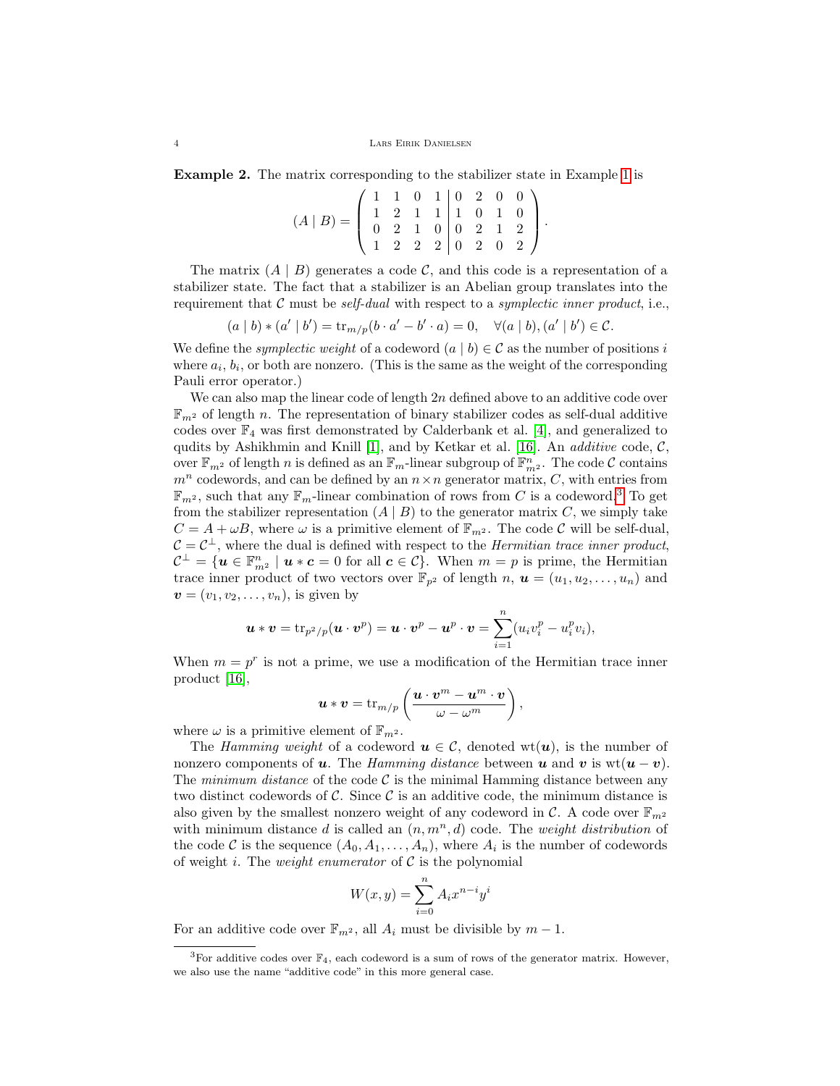Example 2. The matrix corresponding to the stabilizer state in Example [1](#page-2-1) is

$$
(A | B) = \left(\begin{array}{rrrrr} 1 & 1 & 0 & 1 & 0 & 2 & 0 & 0 \\ 1 & 2 & 1 & 1 & 1 & 0 & 1 & 0 \\ 0 & 2 & 1 & 0 & 0 & 2 & 1 & 2 \\ 1 & 2 & 2 & 2 & 0 & 2 & 0 & 2 \end{array}\right).
$$

The matrix  $(A | B)$  generates a code C, and this code is a representation of a stabilizer state. The fact that a stabilizer is an Abelian group translates into the requirement that C must be *self-dual* with respect to a *symplectic inner product*, i.e.,

$$
(a | b) * (a' | b') = \text{tr}_{m/p}(b \cdot a' - b' \cdot a) = 0, \quad \forall (a | b), (a' | b') \in \mathcal{C}.
$$

We define the *symplectic weight* of a codeword  $(a | b) \in \mathcal{C}$  as the number of positions i where  $a_i, b_i$ , or both are nonzero. (This is the same as the weight of the corresponding Pauli error operator.)

We can also map the linear code of length  $2n$  defined above to an additive code over  $\mathbb{F}_{m^2}$  of length n. The representation of binary stabilizer codes as self-dual additive codes over  $\mathbb{F}_4$  was first demonstrated by Calderbank et al. [\[4\]](#page-18-0), and generalized to qudits by Ashikhmin and Knill [\[1\]](#page-18-1), and by Ketkar et al. [\[16\]](#page-19-0). An *additive* code,  $C$ , over  $\mathbb{F}_{m^2}$  of length n is defined as an  $\mathbb{F}_m$ -linear subgroup of  $\mathbb{F}_{m^2}^n$ . The code C contains  $m^n$  codewords, and can be defined by an  $n \times n$  generator matrix, C, with entries from  $\mathbb{F}_{m^2}$ , such that any  $\mathbb{F}_m$ -linear combination of rows from C is a codeword.<sup>[3](#page-3-0)</sup> To get from the stabilizer representation  $(A | B)$  to the generator matrix C, we simply take  $C = A + \omega B$ , where  $\omega$  is a primitive element of  $\mathbb{F}_{m^2}$ . The code C will be self-dual,  $C = C^{\perp}$ , where the dual is defined with respect to the *Hermitian trace inner product*,  $\mathcal{C}^{\perp} = \{ \boldsymbol{u} \in \mathbb{F}_{m^2}^n \mid \boldsymbol{u} * \boldsymbol{c} = 0 \text{ for all } \boldsymbol{c} \in \mathcal{C} \}.$  When  $m = p$  is prime, the Hermitian trace inner product of two vectors over  $\mathbb{F}_{p^2}$  of length n,  $\mathbf{u} = (u_1, u_2, \dots, u_n)$  and  $\mathbf{v} = (v_1, v_2, \dots, v_n)$ , is given by

$$
\boldsymbol{u}\ast \boldsymbol{v} = \mathrm{tr}_{p^2/p}(\boldsymbol{u}\cdot \boldsymbol{v}^p) = \boldsymbol{u}\cdot \boldsymbol{v}^p - \boldsymbol{u}^p\cdot \boldsymbol{v} = \sum_{i=1}^n (u_iv_i^p - u_i^pv_i),
$$

When  $m = p^r$  is not a prime, we use a modification of the Hermitian trace inner product [\[16\]](#page-19-0),

$$
\boldsymbol{u}\ast\boldsymbol{v}=\mathrm{tr}_{m/p}\left(\frac{\boldsymbol{u}\cdot\boldsymbol{v}^m-\boldsymbol{u}^m\cdot\boldsymbol{v}}{\omega-\omega^m}\right),
$$

where  $\omega$  is a primitive element of  $\mathbb{F}_{m^2}$ .

The Hamming weight of a codeword  $u \in \mathcal{C}$ , denoted wt $(u)$ , is the number of nonzero components of u. The Hamming distance between u and v is  $wt(u - v)$ . The *minimum distance* of the code  $\mathcal{C}$  is the minimal Hamming distance between any two distinct codewords of C. Since  $\mathcal C$  is an additive code, the minimum distance is also given by the smallest nonzero weight of any codeword in  $\mathcal{C}$ . A code over  $\mathbb{F}_{m^2}$ with minimum distance d is called an  $(n, m<sup>n</sup>, d)$  code. The *weight distribution* of the code C is the sequence  $(A_0, A_1, \ldots, A_n)$ , where  $A_i$  is the number of codewords of weight i. The *weight enumerator* of  $C$  is the polynomial

$$
W(x,y) = \sum_{i=0}^{n} A_i x^{n-i} y^i
$$

For an additive code over  $\mathbb{F}_{m^2}$ , all  $A_i$  must be divisible by  $m-1$ .

<span id="page-3-0"></span><sup>&</sup>lt;sup>3</sup>For additive codes over  $\mathbb{F}_4$ , each codeword is a sum of rows of the generator matrix. However, we also use the name "additive code" in this more general case.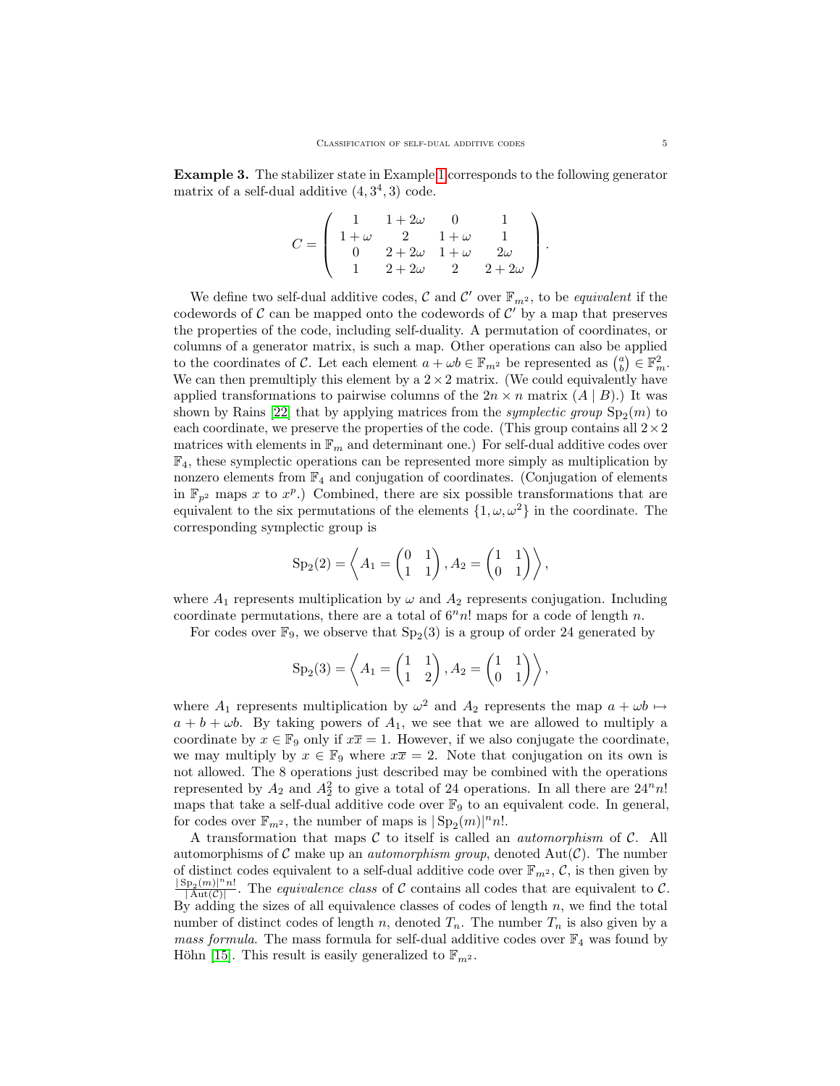Example 3. The stabilizer state in Example [1](#page-2-1) corresponds to the following generator matrix of a self-dual additive  $(4,3^4,3)$  code.

$$
C = \left( \begin{array}{cccc} 1 & 1 + 2\omega & 0 & 1 \\ 1 + \omega & 2 & 1 + \omega & 1 \\ 0 & 2 + 2\omega & 1 + \omega & 2\omega \\ 1 & 2 + 2\omega & 2 & 2 + 2\omega \end{array} \right).
$$

We define two self-dual additive codes,  $\mathcal C$  and  $\mathcal C'$  over  $\mathbb F_{m^2}$ , to be *equivalent* if the codewords of  $\mathcal C$  can be mapped onto the codewords of  $\mathcal C'$  by a map that preserves the properties of the code, including self-duality. A permutation of coordinates, or columns of a generator matrix, is such a map. Other operations can also be applied to the coordinates of C. Let each element  $a + \omega b \in \mathbb{F}_{m^2}$  be represented as  $\binom{a}{b} \in \mathbb{F}_m^2$ . We can then premultiply this element by a  $2 \times 2$  matrix. (We could equivalently have applied transformations to pairwise columns of the  $2n \times n$  matrix  $(A | B)$ .) It was shown by Rains [\[22\]](#page-19-1) that by applying matrices from the *symplectic group*  $Sp_2(m)$  to each coordinate, we preserve the properties of the code. (This group contains all  $2 \times 2$ matrices with elements in  $\mathbb{F}_m$  and determinant one.) For self-dual additive codes over  $\mathbb{F}_4$ , these symplectic operations can be represented more simply as multiplication by nonzero elements from  $\mathbb{F}_4$  and conjugation of coordinates. (Conjugation of elements in  $\mathbb{F}_{p^2}$  maps x to  $x^p$ .) Combined, there are six possible transformations that are equivalent to the six permutations of the elements  $\{1, \omega, \omega^2\}$  in the coordinate. The corresponding symplectic group is

$$
Sp_2(2) = \left\langle A_1 = \begin{pmatrix} 0 & 1 \\ 1 & 1 \end{pmatrix}, A_2 = \begin{pmatrix} 1 & 1 \\ 0 & 1 \end{pmatrix} \right\rangle,
$$

where  $A_1$  represents multiplication by  $\omega$  and  $A_2$  represents conjugation. Including coordinate permutations, there are a total of  $6<sup>n</sup>n!$  maps for a code of length n.

For codes over  $\mathbb{F}_9$ , we observe that  $Sp_2(3)$  is a group of order 24 generated by

$$
Sp_2(3) = \left\langle A_1 = \begin{pmatrix} 1 & 1 \\ 1 & 2 \end{pmatrix}, A_2 = \begin{pmatrix} 1 & 1 \\ 0 & 1 \end{pmatrix} \right\rangle,
$$

where  $A_1$  represents multiplication by  $\omega^2$  and  $A_2$  represents the map  $a + \omega b \mapsto$  $a + b + \omega b$ . By taking powers of  $A_1$ , we see that we are allowed to multiply a coordinate by  $x \in \mathbb{F}_9$  only if  $x\overline{x} = 1$ . However, if we also conjugate the coordinate, we may multiply by  $x \in \mathbb{F}_9$  where  $x\overline{x} = 2$ . Note that conjugation on its own is not allowed. The 8 operations just described may be combined with the operations represented by  $A_2$  and  $A_2^2$  to give a total of 24 operations. In all there are  $24^n n!$ maps that take a self-dual additive code over  $\mathbb{F}_9$  to an equivalent code. In general, for codes over  $\mathbb{F}_{m^2}$ , the number of maps is  $| \text{Sp}_2(m) |^n n!$ .

<span id="page-4-0"></span>A transformation that maps  $C$  to itself is called an *automorphism* of  $C$ . All automorphisms of C make up an *automorphism group*, denoted  $Aut(\mathcal{C})$ . The number of distinct codes equivalent to a self-dual additive code over  $\mathbb{F}_{m^2}$ ,  $\mathcal{C}$ , is then given by  $|\operatorname{Sp}_2(m)|^n n!$  $\frac{p_2(m)^{n}n!}{|\mathrm{Aut}(\mathcal{C})|}$ . The *equivalence class* of C contains all codes that are equivalent to C. By adding the sizes of all equivalence classes of codes of length  $n$ , we find the total number of distinct codes of length n, denoted  $T_n$ . The number  $T_n$  is also given by a *mass formula.* The mass formula for self-dual additive codes over  $\mathbb{F}_4$  was found by Höhn [\[15\]](#page-19-9). This result is easily generalized to  $\mathbb{F}_{m^2}$ .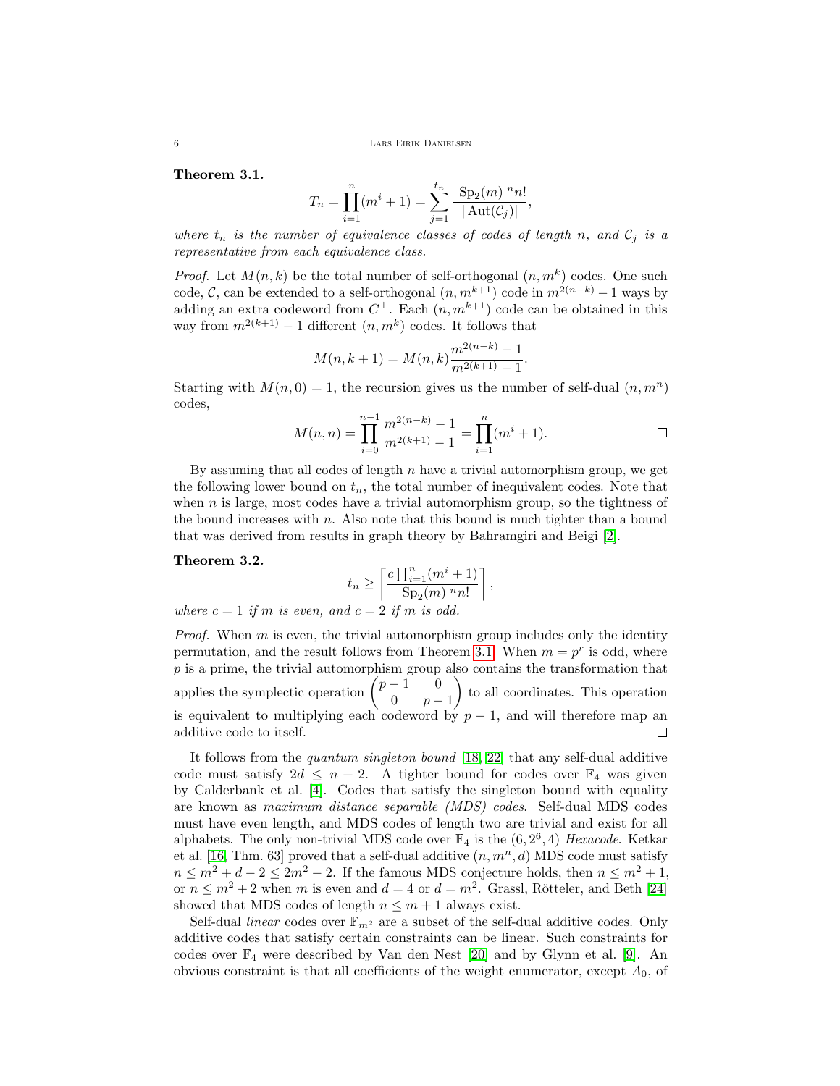6 Lars Eirik Danielsen

Theorem 3.1.

$$
T_n = \prod_{i=1}^n (m^i + 1) = \sum_{j=1}^{t_n} \frac{|\text{Sp}_2(m)|^n n!}{|\text{Aut}(\mathcal{C}_j)|},
$$

where  $t_n$  is the number of equivalence classes of codes of length n, and  $C_j$  is a representative from each equivalence class.

*Proof.* Let  $M(n,k)$  be the total number of self-orthogonal  $(n, m^k)$  codes. One such code, C, can be extended to a self-orthogonal  $(n, m^{k+1})$  code in  $m^{2(n-k)} - 1$  ways by adding an extra codeword from  $C^{\perp}$ . Each  $(n, m^{k+1})$  code can be obtained in this way from  $m^{2(k+1)} - 1$  different  $(n, m^k)$  codes. It follows that

$$
M(n, k+1) = M(n, k) \frac{m^{2(n-k)} - 1}{m^{2(k+1)} - 1}.
$$

Starting with  $M(n, 0) = 1$ , the recursion gives us the number of self-dual  $(n, m<sup>n</sup>)$ codes,

$$
M(n,n) = \prod_{i=0}^{n-1} \frac{m^{2(n-k)} - 1}{m^{2(k+1)} - 1} = \prod_{i=1}^{n} (m^{i} + 1).
$$

By assuming that all codes of length  $n$  have a trivial automorphism group, we get the following lower bound on  $t_n$ , the total number of inequivalent codes. Note that when  $n$  is large, most codes have a trivial automorphism group, so the tightness of the bound increases with  $n$ . Also note that this bound is much tighter than a bound that was derived from results in graph theory by Bahramgiri and Beigi [\[2\]](#page-18-7).

### <span id="page-5-0"></span>Theorem 3.2.

$$
t_n \ge \left\lceil \frac{c \prod_{i=1}^n (m^i + 1)}{|\operatorname{Sp}_2(m)|^n n!} \right\rceil,
$$

where  $c = 1$  if m is even, and  $c = 2$  if m is odd.

*Proof.* When  $m$  is even, the trivial automorphism group includes only the identity permutation, and the result follows from Theorem [3.1.](#page-4-0) When  $m = p^r$  is odd, where  $p$  is a prime, the trivial automorphism group also contains the transformation that applies the symplectic operation  $\begin{pmatrix} p-1 & 0 \\ 0 & p \end{pmatrix}$  to all coordinates. This operation 0  $p-1$ is equivalent to multiplying each codeword by  $p-1$ , and will therefore map an additive code to itself.  $\Box$ 

It follows from the quantum singleton bound [\[18,](#page-19-10) [22\]](#page-19-1) that any self-dual additive code must satisfy  $2d \leq n+2$ . A tighter bound for codes over  $\mathbb{F}_4$  was given by Calderbank et al. [\[4\]](#page-18-0). Codes that satisfy the singleton bound with equality are known as maximum distance separable (MDS) codes. Self-dual MDS codes must have even length, and MDS codes of length two are trivial and exist for all alphabets. The only non-trivial MDS code over  $\mathbb{F}_4$  is the  $(6, 2^6, 4)$  Hexacode. Ketkar et al. [\[16,](#page-19-0) Thm. 63] proved that a self-dual additive  $(n, m^n, d)$  MDS code must satisfy  $n \leq m^2 + d - 2 \leq 2m^2 - 2$ . If the famous MDS conjecture holds, then  $n \leq m^2 + 1$ , or  $n \leq m^2 + 2$  when m is even and  $d = 4$  or  $d = m^2$ . Grassl, Rötteler, and Beth [\[24\]](#page-19-11) showed that MDS codes of length  $n \leq m + 1$  always exist.

Self-dual *linear* codes over  $\mathbb{F}_{m^2}$  are a subset of the self-dual additive codes. Only additive codes that satisfy certain constraints can be linear. Such constraints for codes over  $\mathbb{F}_4$  were described by Van den Nest [\[20\]](#page-19-5) and by Glynn et al. [\[9\]](#page-18-5). An obvious constraint is that all coefficients of the weight enumerator, except  $A_0$ , of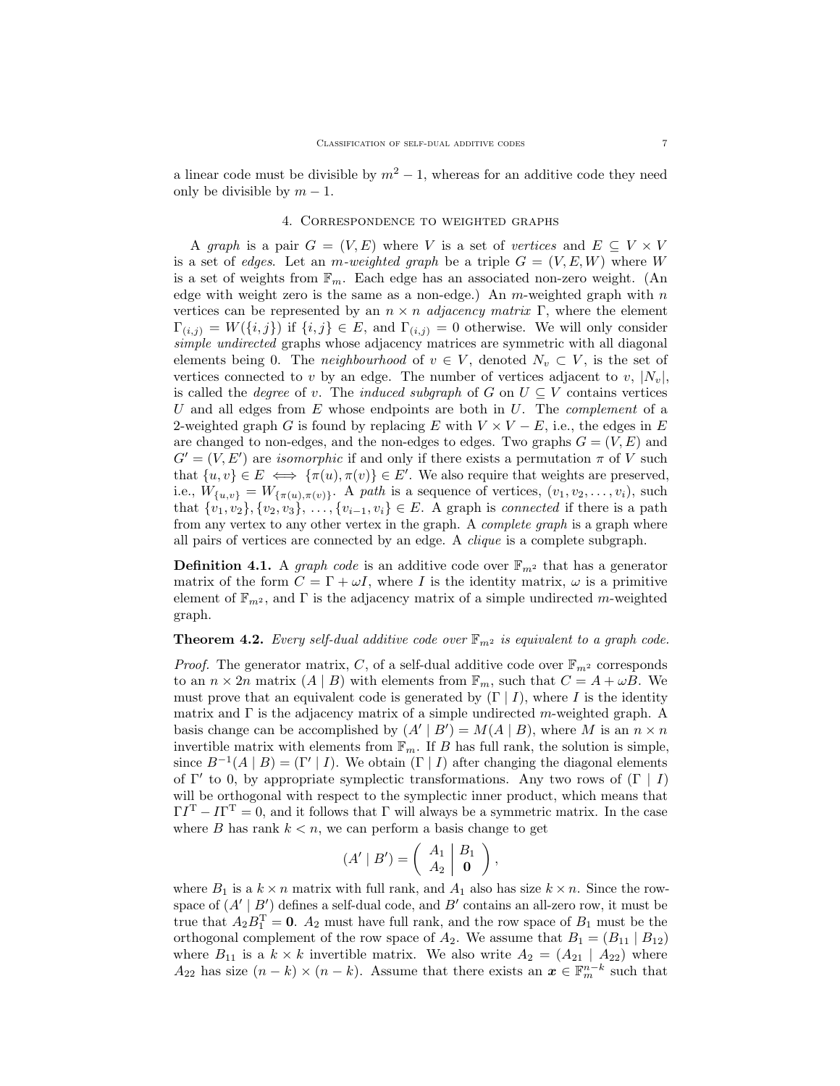a linear code must be divisible by  $m^2 - 1$ , whereas for an additive code they need only be divisible by  $m-1$ .

# 4. Correspondence to weighted graphs

A graph is a pair  $G = (V, E)$  where V is a set of vertices and  $E \subseteq V \times V$ is a set of edges. Let an m-weighted graph be a triple  $G = (V, E, W)$  where W is a set of weights from  $\mathbb{F}_m$ . Each edge has an associated non-zero weight. (An edge with weight zero is the same as a non-edge.) An  $m$ -weighted graph with  $n$ vertices can be represented by an  $n \times n$  *adjacency matrix* Γ, where the element  $\Gamma_{(i,j)} = W(\{i,j\})$  if  $\{i,j\} \in E$ , and  $\Gamma_{(i,j)} = 0$  otherwise. We will only consider simple undirected graphs whose adjacency matrices are symmetric with all diagonal elements being 0. The *neighbourhood* of  $v \in V$ , denoted  $N_v \subset V$ , is the set of vertices connected to v by an edge. The number of vertices adjacent to v,  $|N_v|$ , is called the *degree* of v. The *induced subgraph* of G on  $U \subseteq V$  contains vertices U and all edges from  $E$  whose endpoints are both in  $U$ . The *complement* of a 2-weighted graph G is found by replacing E with  $V \times V - E$ , i.e., the edges in E are changed to non-edges, and the non-edges to edges. Two graphs  $G = (V, E)$  and  $G' = (V, E')$  are *isomorphic* if and only if there exists a permutation  $\pi$  of V such that  $\{u, v\} \in E \iff \{\pi(u), \pi(v)\} \in E'$ . We also require that weights are preserved, i.e.,  $W_{\{u,v\}} = W_{\{\pi(u),\pi(v)\}}$ . A path is a sequence of vertices,  $(v_1, v_2, \ldots, v_i)$ , such that  $\{v_1, v_2\}, \{v_2, v_3\}, \ldots, \{v_{i-1}, v_i\} \in E$ . A graph is *connected* if there is a path from any vertex to any other vertex in the graph. A complete graph is a graph where all pairs of vertices are connected by an edge. A clique is a complete subgraph.

**Definition 4.1.** A *graph code* is an additive code over  $\mathbb{F}_{m^2}$  that has a generator matrix of the form  $C = \Gamma + \omega I$ , where I is the identity matrix,  $\omega$  is a primitive element of  $\mathbb{F}_{m^2}$ , and  $\Gamma$  is the adjacency matrix of a simple undirected m-weighted graph.

# <span id="page-6-0"></span>**Theorem 4.2.** Every self-dual additive code over  $\mathbb{F}_{m^2}$  is equivalent to a graph code.

*Proof.* The generator matrix, C, of a self-dual additive code over  $\mathbb{F}_{m^2}$  corresponds to an  $n \times 2n$  matrix  $(A | B)$  with elements from  $\mathbb{F}_m$ , such that  $C = A + \omega B$ . We must prove that an equivalent code is generated by  $(\Gamma | I)$ , where I is the identity matrix and  $\Gamma$  is the adjacency matrix of a simple undirected m-weighted graph. A basis change can be accomplished by  $(A' | B') = M(A | B)$ , where M is an  $n \times n$ invertible matrix with elements from  $\mathbb{F}_m$ . If B has full rank, the solution is simple, since  $B^{-1}(A | B) = (\Gamma' | I)$ . We obtain  $(\Gamma | I)$  after changing the diagonal elements of  $\Gamma'$  to 0, by appropriate symplectic transformations. Any two rows of  $(\Gamma | I)$ will be orthogonal with respect to the symplectic inner product, which means that  $\Gamma I^{\mathrm{T}} - I \Gamma^{\mathrm{T}} = 0$ , and it follows that  $\Gamma$  will always be a symmetric matrix. In the case where B has rank  $k < n$ , we can perform a basis change to get

$$
(A' | B') = \left(\begin{array}{c|c} A_1 & B_1 \\ A_2 & \mathbf{0} \end{array}\right),
$$

where  $B_1$  is a  $k \times n$  matrix with full rank, and  $A_1$  also has size  $k \times n$ . Since the rowspace of  $(A' | B')$  defines a self-dual code, and  $B'$  contains an all-zero row, it must be true that  $A_2B_1^{\mathrm{T}} = \mathbf{0}$ .  $A_2$  must have full rank, and the row space of  $B_1$  must be the orthogonal complement of the row space of  $A_2$ . We assume that  $B_1 = (B_{11} | B_{12})$ where  $B_{11}$  is a  $k \times k$  invertible matrix. We also write  $A_2 = (A_{21} \mid A_{22})$  where  $A_{22}$  has size  $(n - k) \times (n - k)$ . Assume that there exists an  $\boldsymbol{x} \in \mathbb{F}_m^{n-k}$  such that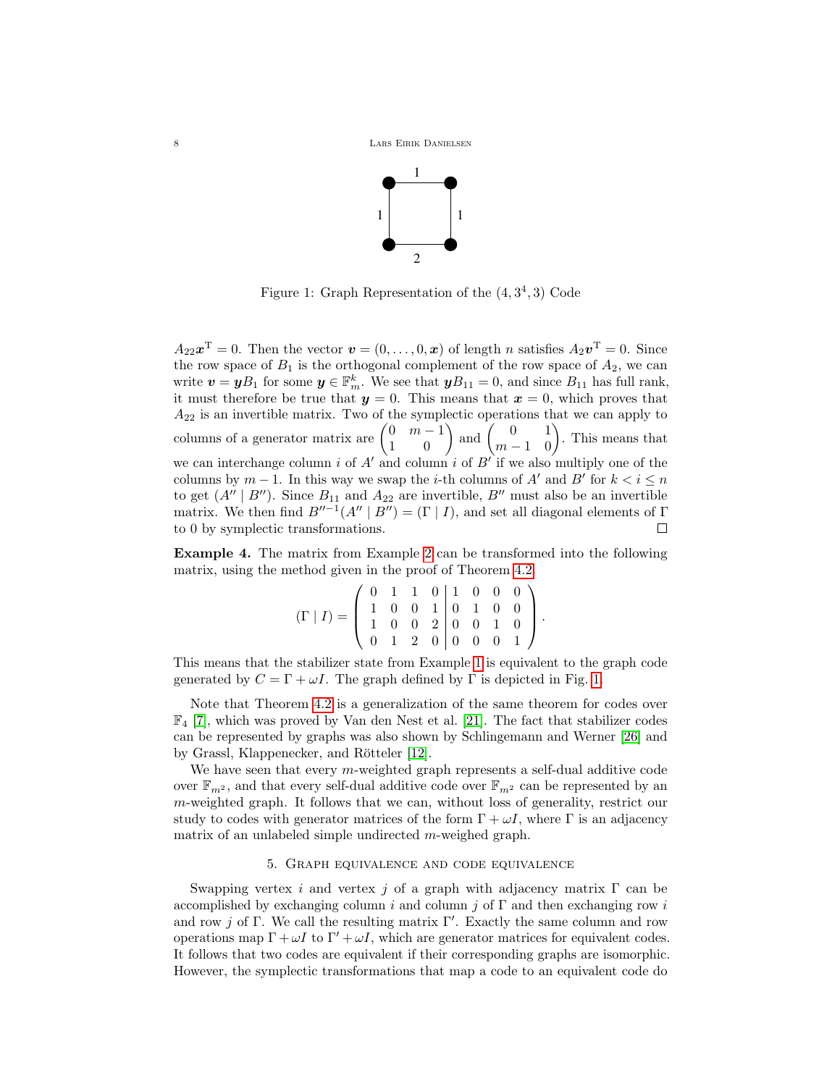

<span id="page-7-0"></span>Figure 1: Graph Representation of the  $(4,3^4,3)$  Code

 $A_{22}x^{\mathrm{T}} = 0$ . Then the vector  $\boldsymbol{v} = (0, \ldots, 0, \boldsymbol{x})$  of length n satisfies  $A_2\boldsymbol{v}^{\mathrm{T}} = 0$ . Since the row space of  $B_1$  is the orthogonal complement of the row space of  $A_2$ , we can write  $\boldsymbol{v} = \boldsymbol{y} B_1$  for some  $\boldsymbol{y} \in \mathbb{F}_m^k$ . We see that  $\boldsymbol{y} B_{11} = 0$ , and since  $B_{11}$  has full rank, it must therefore be true that  $y = 0$ . This means that  $x = 0$ , which proves that  $A_{22}$  is an invertible matrix. Two of the symplectic operations that we can apply to columns of a generator matrix are  $\begin{pmatrix} 0 & m-1 \\ 1 & 0 \end{pmatrix}$  and  $\begin{pmatrix} 0 & 1 \\ m-1 & 0 \end{pmatrix}$ . This means that we can interchange column i of  $A'$  and column i of  $B'$  if we also multiply one of the columns by  $m-1$ . In this way we swap the *i*-th columns of A' and B' for  $k < i \leq n$ to get  $(A'' | B'')$ . Since  $B_{11}$  and  $A_{22}$  are invertible,  $B''$  must also be an invertible matrix. We then find  $B''^{-1}(A'' | B'') = (\Gamma | I)$ , and set all diagonal elements of  $\Gamma$ to 0 by symplectic transformations.  $\Box$ 

<span id="page-7-1"></span>Example 4. The matrix from Example [2](#page-2-2) can be transformed into the following matrix, using the method given in the proof of Theorem [4.2.](#page-6-0)

$$
(\Gamma | I) = \left( \begin{array}{rrrrr} 0 & 1 & 1 & 0 & 1 & 0 & 0 & 0 \\ 1 & 0 & 0 & 1 & 0 & 1 & 0 & 0 \\ 1 & 0 & 0 & 2 & 0 & 0 & 1 & 0 \\ 0 & 1 & 2 & 0 & 0 & 0 & 0 & 1 \end{array} \right).
$$

This means that the stabilizer state from Example [1](#page-2-1) is equivalent to the graph code generated by  $C = \Gamma + \omega I$ . The graph defined by  $\Gamma$  is depicted in Fig. [1.](#page-7-0)

Note that Theorem [4.2](#page-6-0) is a generalization of the same theorem for codes over  $\mathbb{F}_4$  [\[7\]](#page-18-6), which was proved by Van den Nest et al. [\[21\]](#page-19-6). The fact that stabilizer codes can be represented by graphs was also shown by Schlingemann and Werner [\[26\]](#page-19-4) and by Grassl, Klappenecker, and Rötteler [\[12\]](#page-18-3).

We have seen that every  $m$ -weighted graph represents a self-dual additive code over  $\mathbb{F}_{m^2}$ , and that every self-dual additive code over  $\mathbb{F}_{m^2}$  can be represented by an m-weighted graph. It follows that we can, without loss of generality, restrict our study to codes with generator matrices of the form  $\Gamma + \omega I$ , where  $\Gamma$  is an adjacency matrix of an unlabeled simple undirected m-weighed graph.

# 5. Graph equivalence and code equivalence

Swapping vertex i and vertex j of a graph with adjacency matrix  $\Gamma$  can be accomplished by exchanging column i and column j of  $\Gamma$  and then exchanging row i and row j of Γ. We call the resulting matrix  $\Gamma'$ . Exactly the same column and row operations map  $\Gamma + \omega I$  to  $\Gamma' + \omega I$ , which are generator matrices for equivalent codes. It follows that two codes are equivalent if their corresponding graphs are isomorphic. However, the symplectic transformations that map a code to an equivalent code do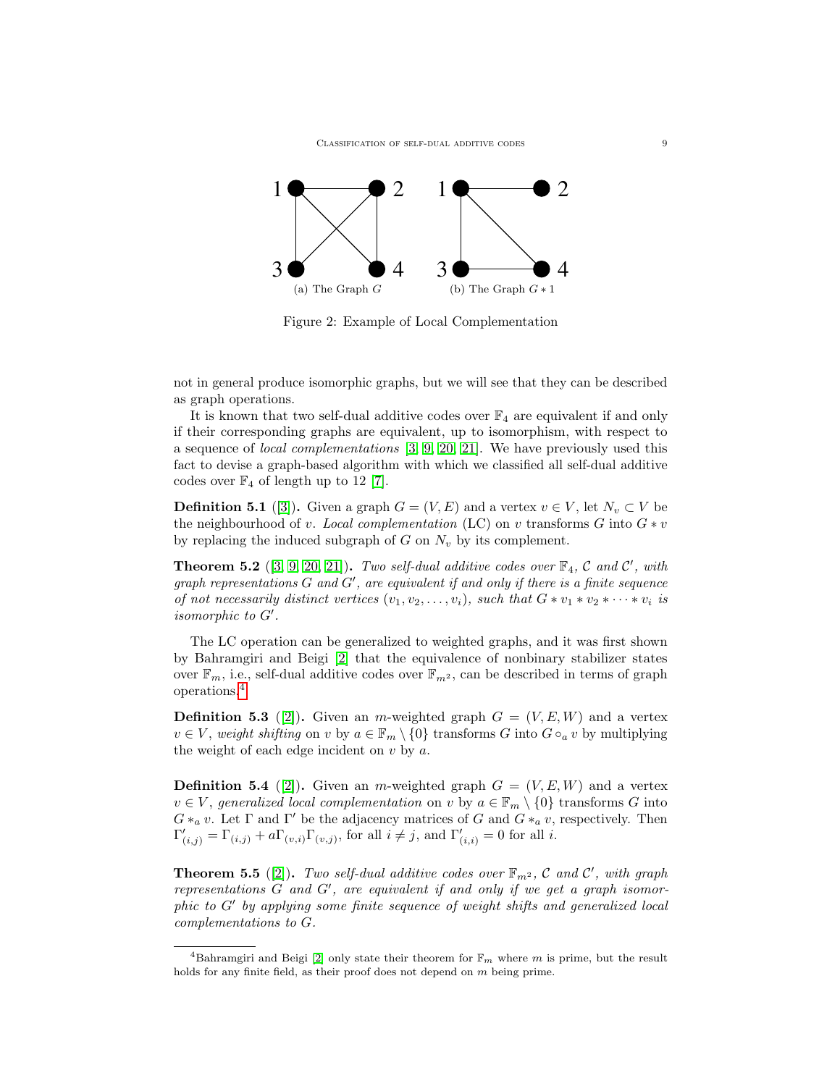

Figure 2: Example of Local Complementation

not in general produce isomorphic graphs, but we will see that they can be described as graph operations.

It is known that two self-dual additive codes over  $\mathbb{F}_4$  are equivalent if and only if their corresponding graphs are equivalent, up to isomorphism, with respect to a sequence of local complementations [\[3,](#page-18-4) [9,](#page-18-5) [20,](#page-19-5) [21\]](#page-19-6). We have previously used this fact to devise a graph-based algorithm with which we classified all self-dual additive codes over  $\mathbb{F}_4$  of length up to 12 [\[7\]](#page-18-6).

**Definition 5.1** ([\[3\]](#page-18-4)). Given a graph  $G = (V, E)$  and a vertex  $v \in V$ , let  $N_v \subset V$  be the neighbourhood of v. Local complementation (LC) on v transforms G into  $G * v$ by replacing the induced subgraph of  $G$  on  $N_v$  by its complement.

**Theorem 5.2** ([\[3,](#page-18-4) [9,](#page-18-5) [20,](#page-19-5) [21\]](#page-19-6)). Two self-dual additive codes over  $\mathbb{F}_4$ , C and C', with graph representations  $G$  and  $G'$ , are equivalent if and only if there is a finite sequence of not necessarily distinct vertices  $(v_1, v_2, \ldots, v_i)$ , such that  $G * v_1 * v_2 * \cdots * v_i$  is isomorphic to  $G'$ .

The LC operation can be generalized to weighted graphs, and it was first shown by Bahramgiri and Beigi [\[2\]](#page-18-7) that the equivalence of nonbinary stabilizer states over  $\mathbb{F}_m$ , i.e., self-dual additive codes over  $\mathbb{F}_{m^2}$ , can be described in terms of graph operations.[4](#page-8-0)

**Definition 5.3** ([\[2\]](#page-18-7)). Given an m-weighted graph  $G = (V, E, W)$  and a vertex  $v \in V$ , weight shifting on v by  $a \in \mathbb{F}_m \setminus \{0\}$  transforms G into  $G \circ_a v$  by multiplying the weight of each edge incident on  $v$  by  $a$ .

**Definition 5.4** ([\[2\]](#page-18-7)). Given an m-weighted graph  $G = (V, E, W)$  and a vertex  $v \in V$ , generalized local complementation on v by  $a \in \mathbb{F}_m \setminus \{0\}$  transforms G into  $G*_a v$ . Let  $\Gamma$  and  $\Gamma'$  be the adjacency matrices of G and  $G*_a v$ , respectively. Then  $\Gamma'_{(i,j)} = \Gamma_{(i,j)} + a \Gamma_{(v,i)} \Gamma_{(v,j)}$ , for all  $i \neq j$ , and  $\Gamma'_{(i,i)} = 0$  for all i.

<span id="page-8-1"></span>**Theorem 5.5** ([\[2\]](#page-18-7)). Two self-dual additive codes over  $\mathbb{F}_{m^2}$ , C and C', with graph representations  $G$  and  $G'$ , are equivalent if and only if we get a graph isomor $phic$  to  $G'$  by applying some finite sequence of weight shifts and generalized local complementations to G.

<span id="page-8-0"></span><sup>&</sup>lt;sup>4</sup>Bahramgiri and Beigi [\[2\]](#page-18-7) only state their theorem for  $\mathbb{F}_m$  where m is prime, but the result holds for any finite field, as their proof does not depend on m being prime.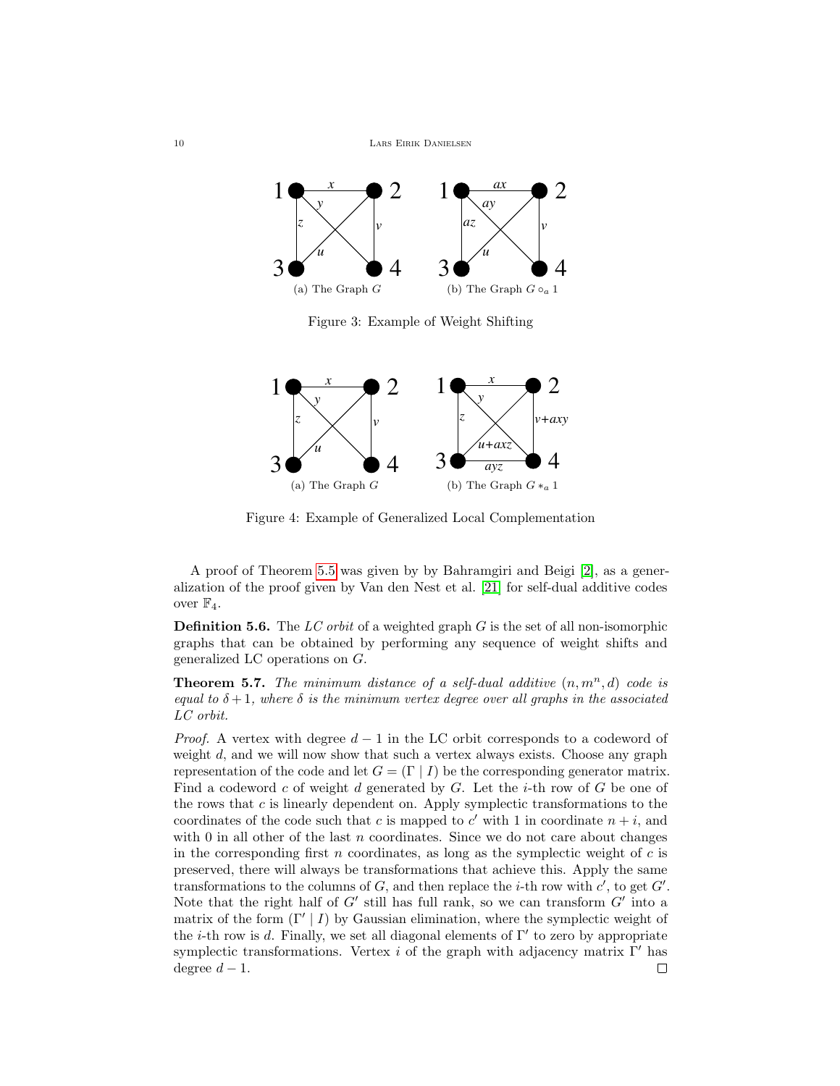

Figure 3: Example of Weight Shifting



Figure 4: Example of Generalized Local Complementation

A proof of Theorem [5.5](#page-8-1) was given by by Bahramgiri and Beigi [\[2\]](#page-18-7), as a generalization of the proof given by Van den Nest et al. [\[21\]](#page-19-6) for self-dual additive codes over  $\mathbb{F}_4$ .

**Definition 5.6.** The  $LC$  orbit of a weighted graph  $G$  is the set of all non-isomorphic graphs that can be obtained by performing any sequence of weight shifts and generalized LC operations on G.

**Theorem 5.7.** The minimum distance of a self-dual additive  $(n, m^n, d)$  code is equal to  $\delta + 1$ , where  $\delta$  is the minimum vertex degree over all graphs in the associated LC orbit.

*Proof.* A vertex with degree  $d-1$  in the LC orbit corresponds to a codeword of weight d, and we will now show that such a vertex always exists. Choose any graph representation of the code and let  $G = (\Gamma | I)$  be the corresponding generator matrix. Find a codeword  $c$  of weight  $d$  generated by  $G$ . Let the *i*-th row of  $G$  be one of the rows that  $c$  is linearly dependent on. Apply symplectic transformations to the coordinates of the code such that c is mapped to  $c'$  with 1 in coordinate  $n + i$ , and with  $0$  in all other of the last  $n$  coordinates. Since we do not care about changes in the corresponding first  $n$  coordinates, as long as the symplectic weight of  $c$  is preserved, there will always be transformations that achieve this. Apply the same transformations to the columns of  $G$ , and then replace the *i*-th row with  $c'$ , to get  $G'$ . Note that the right half of  $G'$  still has full rank, so we can transform  $G'$  into a matrix of the form  $(\Gamma' | I)$  by Gaussian elimination, where the symplectic weight of the *i*-th row is d. Finally, we set all diagonal elements of  $\Gamma'$  to zero by appropriate symplectic transformations. Vertex i of the graph with adjacency matrix  $\Gamma'$  has degree  $d-1$ . П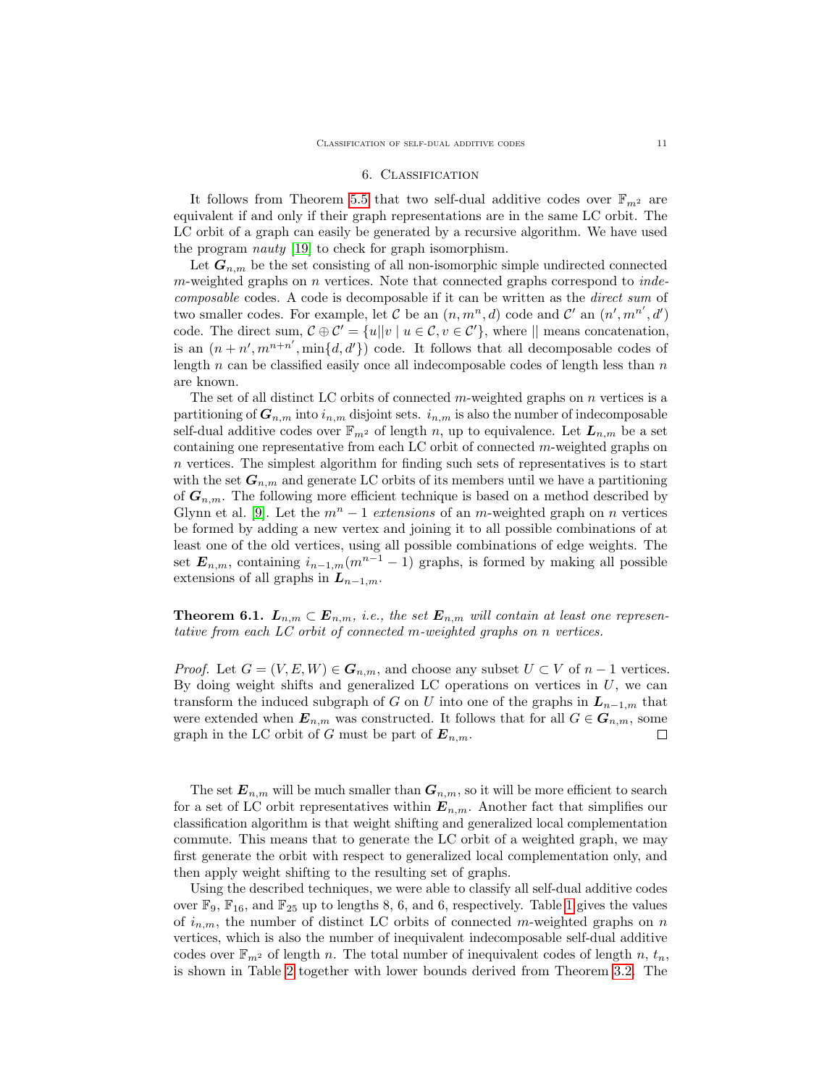# 6. Classification

<span id="page-10-0"></span>It follows from Theorem [5.5](#page-8-1) that two self-dual additive codes over  $\mathbb{F}_{m^2}$  are equivalent if and only if their graph representations are in the same LC orbit. The LC orbit of a graph can easily be generated by a recursive algorithm. We have used the program nauty [\[19\]](#page-19-12) to check for graph isomorphism.

Let  $G_{n,m}$  be the set consisting of all non-isomorphic simple undirected connected m-weighted graphs on n vertices. Note that connected graphs correspond to *inde*composable codes. A code is decomposable if it can be written as the direct sum of two smaller codes. For example, let C be an  $(n, m^n, d)$  code and C' an  $(n', m^{n'}, d')$ code. The direct sum,  $\mathcal{C} \oplus \mathcal{C}' = \{u | |v | u \in \mathcal{C}, v \in \mathcal{C}'\}$ , where  $||$  means concatenation, is an  $(n+n',m^{n+n'},\min\{d,d'\})$  code. It follows that all decomposable codes of length  $n$  can be classified easily once all indecomposable codes of length less than  $n$ are known.

The set of all distinct LC orbits of connected  $m$ -weighted graphs on  $n$  vertices is a partitioning of  $G_{n,m}$  into  $i_{n,m}$  disjoint sets.  $i_{n,m}$  is also the number of indecomposable self-dual additive codes over  $\mathbb{F}_{m^2}$  of length n, up to equivalence. Let  $L_{n,m}$  be a set containing one representative from each LC orbit of connected m-weighted graphs on n vertices. The simplest algorithm for finding such sets of representatives is to start with the set  $G_{n,m}$  and generate LC orbits of its members until we have a partitioning of  $G_{n,m}$ . The following more efficient technique is based on a method described by Glynn et al. [\[9\]](#page-18-5). Let the  $m<sup>n</sup> - 1$  extensions of an m-weighted graph on n vertices be formed by adding a new vertex and joining it to all possible combinations of at least one of the old vertices, using all possible combinations of edge weights. The set  $E_{n,m}$ , containing  $i_{n-1,m}(m^{n-1}-1)$  graphs, is formed by making all possible extensions of all graphs in  $L_{n-1,m}$ .

**Theorem 6.1.**  $L_{n,m} \subset E_{n,m}$ , i.e., the set  $E_{n,m}$  will contain at least one representative from each LC orbit of connected m-weighted graphs on n vertices.

*Proof.* Let  $G = (V, E, W) \in G_{n,m}$ , and choose any subset  $U \subset V$  of  $n-1$  vertices. By doing weight shifts and generalized LC operations on vertices in  $U$ , we can transform the induced subgraph of G on U into one of the graphs in  $L_{n-1,m}$  that were extended when  $\mathbf{E}_{n,m}$  was constructed. It follows that for all  $G \in \mathbf{G}_{n,m}$ , some graph in the LC orbit of G must be part of  $E_{n,m}$ . □

The set  $E_{n,m}$  will be much smaller than  $G_{n,m}$ , so it will be more efficient to search for a set of LC orbit representatives within  $E_{n,m}$ . Another fact that simplifies our classification algorithm is that weight shifting and generalized local complementation commute. This means that to generate the LC orbit of a weighted graph, we may first generate the orbit with respect to generalized local complementation only, and then apply weight shifting to the resulting set of graphs.

Using the described techniques, we were able to classify all self-dual additive codes over  $\mathbb{F}_9$ ,  $\mathbb{F}_{16}$ , and  $\mathbb{F}_{25}$  up to lengths 8, 6, and 6, respectively. Table [1](#page-11-0) gives the values of  $i_{n,m}$ , the number of distinct LC orbits of connected m-weighted graphs on n vertices, which is also the number of inequivalent indecomposable self-dual additive codes over  $\mathbb{F}_{m^2}$  of length n. The total number of inequivalent codes of length n,  $t_n$ , is shown in Table [2](#page-12-0) together with lower bounds derived from Theorem [3.2.](#page-5-0) The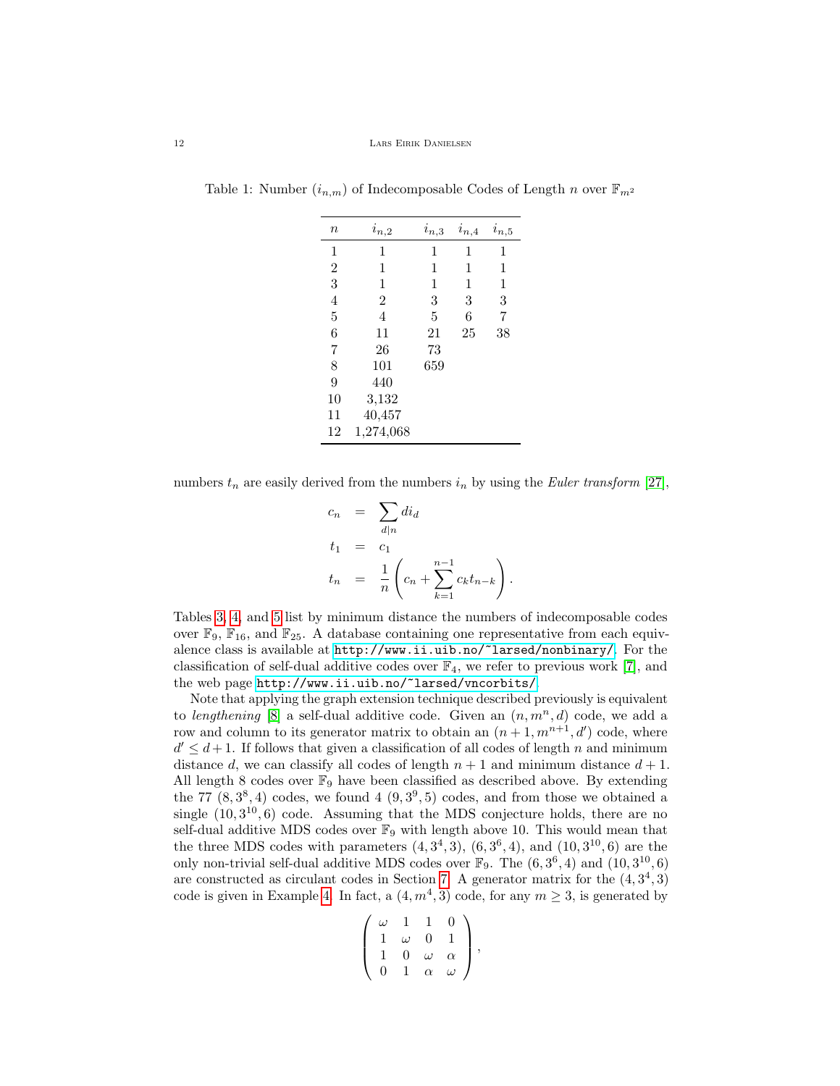| $\it n$        | $i_{n,2}$      | $i_{n,3}$ | $i_{n,4}$ | $i_{n,5}$ |
|----------------|----------------|-----------|-----------|-----------|
| 1              | 1              | 1         | 1         | 1         |
| $\overline{2}$ | 1              | 1         | 1         | 1         |
| 3              | 1              | 1         | 1         | 1         |
| 4              | $\overline{2}$ | 3         | 3         | 3         |
| 5              | 4              | 5         | 6         | 7         |
| 6              | 11             | 21        | 25        | 38        |
| 7              | 26             | 73        |           |           |
| 8              | 101            | 659       |           |           |
| 9              | 440            |           |           |           |
| 10             | 3,132          |           |           |           |
| 11             | 40,457         |           |           |           |
| 12             | 1,274,068      |           |           |           |

<span id="page-11-0"></span>Table 1: Number  $(i_{n,m})$  of Indecomposable Codes of Length n over  $\mathbb{F}_{m^2}$ 

numbers  $t_n$  are easily derived from the numbers  $i_n$  by using the *Euler transform* [\[27\]](#page-19-13),

$$
c_n = \sum_{d|n} di_d
$$
  
\n
$$
t_1 = c_1
$$
  
\n
$$
t_n = \frac{1}{n} \left( c_n + \sum_{k=1}^{n-1} c_k t_{n-k} \right).
$$

Tables [3,](#page-12-1) [4,](#page-12-2) and [5](#page-13-0) list by minimum distance the numbers of indecomposable codes over  $\mathbb{F}_9$ ,  $\mathbb{F}_{16}$ , and  $\mathbb{F}_{25}$ . A database containing one representative from each equivalence class is available at <http://www.ii.uib.no/~larsed/nonbinary/>. For the classification of self-dual additive codes over  $\mathbb{F}_4$ , we refer to previous work [\[7\]](#page-18-6), and the web page <http://www.ii.uib.no/~larsed/vncorbits/>.

Note that applying the graph extension technique described previously is equivalent to lengthening [\[8\]](#page-18-9) a self-dual additive code. Given an  $(n, m^n, d)$  code, we add a row and column to its generator matrix to obtain an  $(n+1, m^{n+1}, d')$  code, where  $d' \leq d+1$ . If follows that given a classification of all codes of length n and minimum distance d, we can classify all codes of length  $n + 1$  and minimum distance  $d + 1$ . All length 8 codes over  $\mathbb{F}_9$  have been classified as described above. By extending the 77  $(8,3^8,4)$  codes, we found 4  $(9,3^9,5)$  codes, and from those we obtained a single  $(10, 3^{10}, 6)$  code. Assuming that the MDS conjecture holds, there are no self-dual additive MDS codes over  $\mathbb{F}_9$  with length above 10. This would mean that the three MDS codes with parameters  $(4, 3^4, 3)$ ,  $(6, 3^6, 4)$ , and  $(10, 3^{10}, 6)$  are the only non-trivial self-dual additive MDS codes over  $\mathbb{F}_9$ . The  $(6, 3^6, 4)$  and  $(10, 3^{10}, 6)$ are constructed as circulant codes in Section [7.](#page-13-1) A generator matrix for the  $(4,3^4,3)$ code is given in Example [4.](#page-7-1) In fact, a  $(4, m<sup>4</sup>, 3)$  code, for any  $m \geq 3$ , is generated by

$$
\left(\begin{array}{cccc} \omega & 1 & 1 & 0 \\ 1 & \omega & 0 & 1 \\ 1 & 0 & \omega & \alpha \\ 0 & 1 & \alpha & \omega \end{array}\right),
$$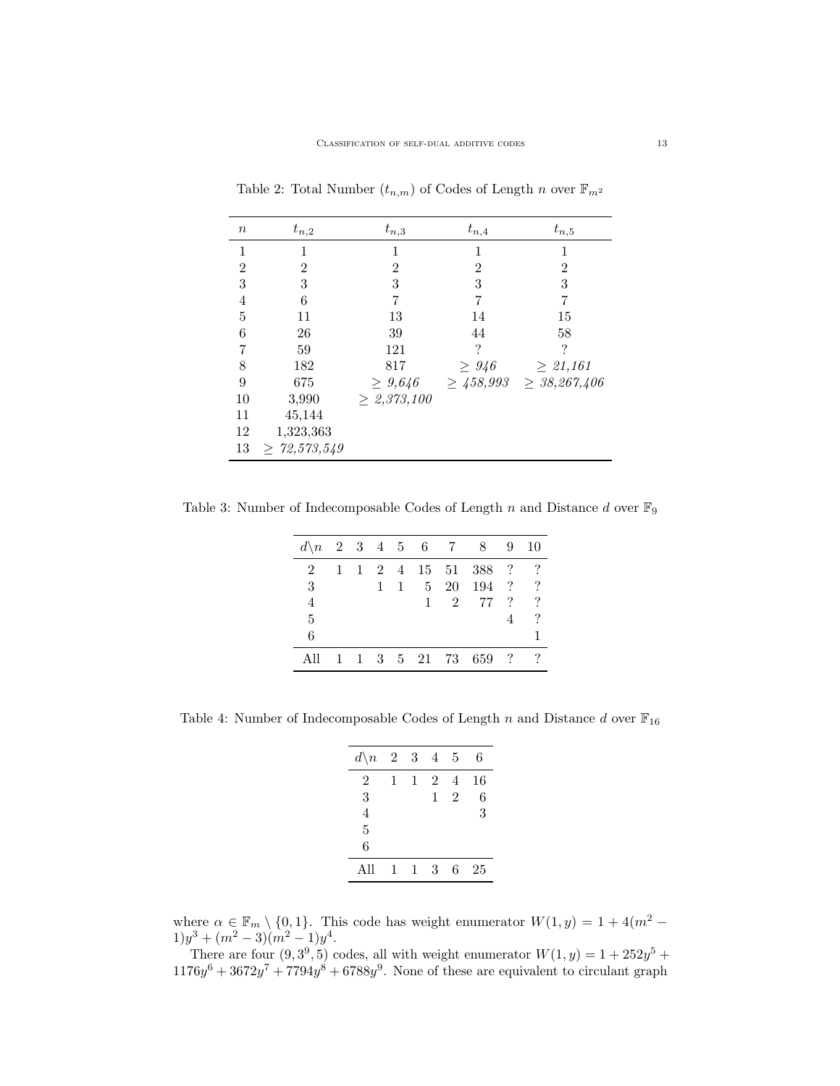| $\boldsymbol{n}$ | $t_{n,2}$         | $t_{n,3}$        | $t_{n,4}$      | $t_{n,5}$         |
|------------------|-------------------|------------------|----------------|-------------------|
| 1                | 1                 | 1                | 1              | 1                 |
| $\overline{2}$   | $\overline{2}$    | $\overline{2}$   | $\overline{2}$ | $\overline{2}$    |
| 3                | 3                 | 3                | 3              | 3                 |
| $\overline{4}$   | 6                 | 7                | 7              | 7                 |
| $\overline{5}$   | 11                | 13               | 14             | 15                |
| 6                | 26                | 39               | 44             | 58                |
| 7                | 59                | 121              | ?              | $\ddot{?}$        |
| 8                | 182               | 817              | $\geq 946$     | $\geq 21,161$     |
| 9                | 675               | $\geq 9.646$     | $\geq 458,993$ | $\geq 38,267,406$ |
| 10               | 3,990             | $\geq 2,373,100$ |                |                   |
| 11               | 45,144            |                  |                |                   |
| 12               | 1,323,363         |                  |                |                   |
| 13               | $\geq 72,573,549$ |                  |                |                   |

<span id="page-12-0"></span>Table 2: Total Number  $(t_{n,m})$  of Codes of Length n over  $\mathbb{F}_{m^2}$ 

<span id="page-12-1"></span>Table 3: Number of Indecomposable Codes of Length  $n$  and Distance  $d$  over  $\mathbb{F}_9$ 

| $d \n\begin{matrix} n & 2 & 3 & 4 & 5 & 6 & 7 & 8 \end{matrix}$ |              |   |              |   |              |    |                               | 9                          | 10       |
|-----------------------------------------------------------------|--------------|---|--------------|---|--------------|----|-------------------------------|----------------------------|----------|
| $\mathcal{D}$                                                   | $\mathbf{1}$ | 1 |              |   |              |    | 2 4 15 51 388 ?               |                            |          |
| 3                                                               |              |   | $\mathbf{1}$ | 1 | $5-5$        | 20 | 194 ?                         |                            | ?        |
| 4                                                               |              |   |              |   | $\mathbf{1}$ | 2  | - 77                          | $\boldsymbol{\mathcal{P}}$ | $\gamma$ |
| 5                                                               |              |   |              |   |              |    |                               |                            | ?        |
| 6                                                               |              |   |              |   |              |    |                               |                            |          |
| All                                                             |              |   |              |   |              |    | $1 \t3 \t5 \t21 \t73 \t659$ ? |                            |          |

<span id="page-12-2"></span>Table 4: Number of Indecomposable Codes of Length  $n$  and Distance  $d$  over  $\mathbb{F}_{16}$ 

| $d \backslash n$ | $\overline{2}$ | 3 | 4              | 5              | 6  |
|------------------|----------------|---|----------------|----------------|----|
| 2                | 1              | 1 | $\overline{2}$ | 4              | 16 |
| 3                |                |   | 1              | $\overline{2}$ | 6  |
| 4                |                |   |                |                | 3  |
| 5                |                |   |                |                |    |
| 6                |                |   |                |                |    |
| All              | 1              | 1 | 3              | 6              | 25 |

where  $\alpha \in \mathbb{F}_m \setminus \{0,1\}$ . This code has weight enumerator  $W(1, y) = 1 + 4(m^2 1)y^3 + (m^2 - 3)(m^2 - 1)y^4$ .

There are four  $(9,3^9,5)$  codes, all with weight enumerator  $W(1,y) = 1 + 252y^5 +$  $1176y^6 + 3672y^7 + 7794y^8 + 6788y^9$ . None of these are equivalent to circulant graph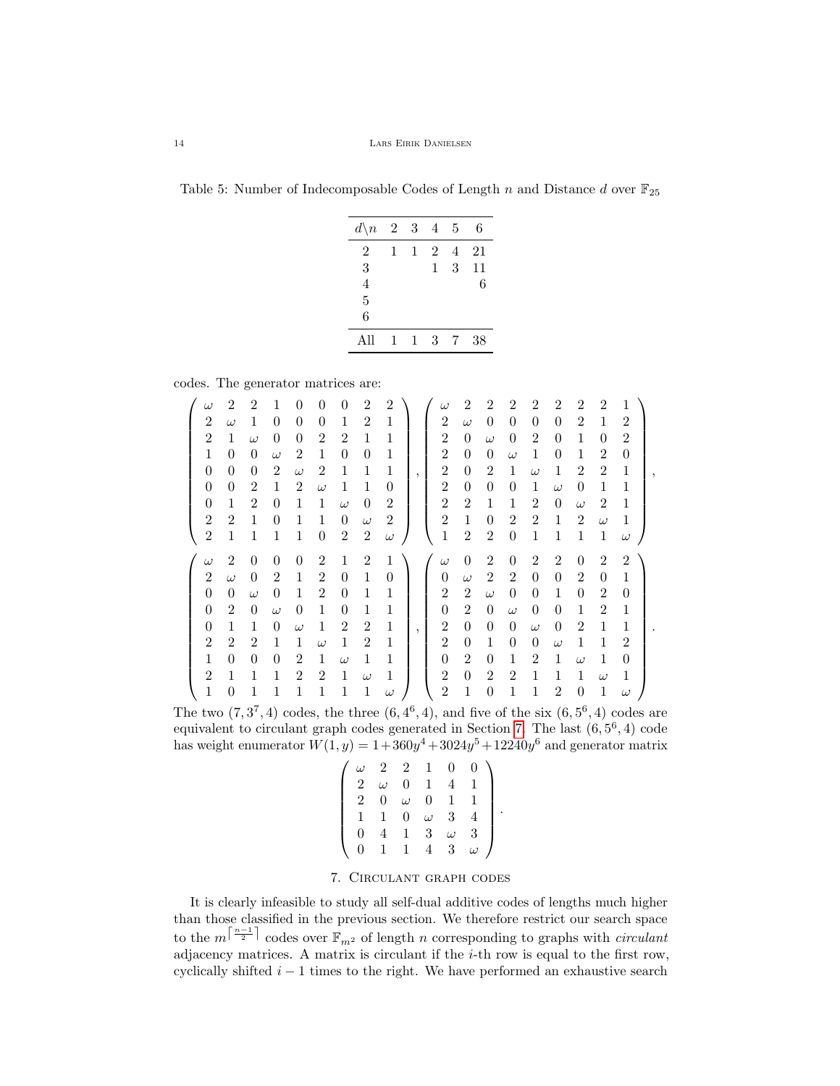<span id="page-13-0"></span>Table 5: Number of Indecomposable Codes of Length n and Distance d over  $\mathbb{F}_{25}$ 

| $d \backslash n$ | $\overline{2}$ | 3            | $\overline{4}$ | 5 | 6  |
|------------------|----------------|--------------|----------------|---|----|
| 2                | 1              | $\mathbf{1}$ | 2              | 4 | 21 |
| 3                |                |              | 1              | 3 | 11 |
| 4                |                |              |                |   | 6  |
| 5                |                |              |                |   |    |
| 6                |                |              |                |   |    |
| All              | 1              | $\mathbf{1}$ | 3              | 7 | 38 |

codes. The generator matrices are:

| $\omega$         | $\overline{2}$ | $\overline{2}$ | 1              |                |                | 0              | $\mathcal{D}_{\mathcal{L}}$ | $\mathcal{D}_{\mathcal{L}}$ |         | $\omega$       | $\mathfrak{D}$ |                | 2              | 2              | $\mathfrak{D}$ | $\mathfrak{D}$ | $\overline{2}$ | 1              |  |
|------------------|----------------|----------------|----------------|----------------|----------------|----------------|-----------------------------|-----------------------------|---------|----------------|----------------|----------------|----------------|----------------|----------------|----------------|----------------|----------------|--|
| $\overline{2}$   | $\omega$       | 1              | 0              | 0              | 0              | 1              | 2                           | 1                           |         | $\overline{2}$ | $\omega$       | $\theta$       | $\theta$       | $\theta$       | $\theta$       | 2              | 1              | $\overline{2}$ |  |
| $\overline{2}$   | $\mathbf{1}$   | $\omega$       | $\theta$       | $\theta$       | $\overline{2}$ | $\mathfrak{D}$ | 1                           | 1                           |         | $\overline{2}$ | $\Omega$       | $\omega$       | $\theta$       | $\overline{2}$ | $\theta$       | 1              | $\theta$       | $\overline{2}$ |  |
| $\mathbf{1}$     | $\Omega$       | $\theta$       | $\omega$       | $\overline{2}$ | $\mathbf{1}$   | $\theta$       | $\theta$                    | 1                           |         | $\overline{2}$ | $\theta$       | $\theta$       | $\omega$       | 1              | $\theta$       | $\mathbf{1}$   | $\overline{2}$ | $\theta$       |  |
| $\theta$         | $\theta$       | 0              | $\overline{2}$ | $\omega$       | $\overline{2}$ | 1              | 1                           | 1                           | $\cdot$ | $\overline{2}$ | $\Omega$       | $\overline{2}$ | 1              | $\omega$       | 1              | $\overline{2}$ | $\overline{2}$ | $\mathbf{1}$   |  |
| $\boldsymbol{0}$ | $\theta$       | $\overline{2}$ | 1              | $\overline{2}$ | $\omega$       | 1              | 1                           | $\Omega$                    |         | $\overline{2}$ | $\theta$       | $\theta$       | $\theta$       | 1              | $\omega$       | $\Omega$       | $\mathbf{1}$   | $\mathbf{1}$   |  |
| $\theta$         | $\mathbf{1}$   | $\overline{2}$ | $\theta$       | 1              | 1              | $\omega$       | $\theta$                    | 2                           |         | $\overline{2}$ | $\overline{2}$ | 1              | 1              | $\overline{2}$ | $\theta$       | $\omega$       | $\overline{2}$ | 1              |  |
| $\overline{2}$   | $\overline{2}$ | 1              | $\theta$       | 1              | 1              | $\theta$       | $\omega$                    | 2                           |         | $\overline{2}$ | $\mathbf{1}$   | $\theta$       | $\overline{2}$ | $\overline{2}$ | 1              | $\overline{2}$ | $\omega$       | $\mathbf{1}$   |  |
| $\overline{2}$   | $\mathbf{1}$   | 1              | 1              | 1              | $\overline{0}$ | $\overline{2}$ | $\boldsymbol{2}$            | $\omega$                    |         | $\mathbf 1$    | $\overline{2}$ | 2              | $\theta$       | 1              | 1              | $\mathbf{1}$   | $\mathbf{1}$   | $\omega$       |  |
|                  |                |                |                |                |                |                |                             |                             |         |                |                |                |                |                |                |                |                |                |  |
| $\omega$         | $\overline{2}$ | $\theta$       | $\theta$       | $\theta$       | $\overline{2}$ | 1              | $\overline{2}$              | 1                           |         | $\omega$       | $\theta$       | $\overline{2}$ | $\theta$       | $\overline{2}$ | $\overline{2}$ | $\theta$       | $\overline{2}$ | $\overline{2}$ |  |
| $\overline{2}$   | $\omega$       | $\theta$       | 2              | 1              | $\overline{2}$ | $\theta$       | $\mathbf{1}$                | $\theta$                    |         | $\overline{0}$ | $\omega$       | $\overline{2}$ | $\overline{2}$ | $\theta$       | $\overline{0}$ | $\overline{2}$ | $\theta$       | $\mathbf{1}$   |  |
| $\theta$         | $\theta$       | $\omega$       | $\theta$       | 1              | $\overline{2}$ | $\theta$       | $\mathbf{1}$                | 1                           |         | $\mathbf{2}$   | $\overline{2}$ | $\omega$       | $\theta$       | $\theta$       | 1              | $\theta$       | $\overline{2}$ | $\theta$       |  |
| $\boldsymbol{0}$ | $\overline{2}$ | $\overline{0}$ | $\omega$       | $\overline{0}$ | 1              | $\theta$       | $\mathbf{1}$                | 1                           |         | $\overline{0}$ | $\overline{2}$ | $\theta$       | $\omega$       | $\theta$       | $\theta$       | 1              | $\overline{2}$ | $\mathbf{1}$   |  |
| $\theta$         | 1              | 1              | 0              | $\omega$       | 1              | $\overline{2}$ | $\overline{2}$              | 1                           | $\cdot$ | $\overline{2}$ | $\theta$       | $\theta$       | $\theta$       | $\omega$       | $\theta$       | $\overline{2}$ | 1              | $\mathbf{1}$   |  |
| $\overline{2}$   | $\overline{2}$ | $\overline{2}$ | 1              | 1              | $\omega$       | 1              | $\overline{2}$              | 1                           |         | $\overline{2}$ | $\theta$       | 1              | $\theta$       | $\theta$       | $\omega$       | 1              | 1              | 2              |  |
| $\mathbf{1}$     | $\theta$       | $\theta$       | $\theta$       | 2              | 1              | $\omega$       | 1                           | 1                           |         | $\overline{0}$ | 2              | $\theta$       | 1              | $\overline{2}$ | 1              | $\omega$       | 1              | $\theta$       |  |
| $\overline{2}$   | 1              | 1              | $\mathbf{1}$   | $\overline{2}$ | $\overline{2}$ | 1              | $\omega$                    | 1                           |         | $\overline{2}$ | $\theta$       | 2              | $\overline{2}$ | 1              | 1              | 1              | $\omega$       | $\mathbf{1}$   |  |

The two  $(7,3^7,4)$  codes, the three  $(6,4^6,4)$ , and five of the six  $(6,5^6,4)$  codes are equivalent to circulant graph codes generated in Section [7.](#page-13-1) The last  $(6, 5^6, 4)$  code has weight enumerator  $W(1, y) = 1 + 360y^4 + 3024y^5 + 12240y^6$  and generator matrix

| $\omega$    | $\overline{2}$ | $\overline{2}$ | $\vert$ 1      | $\overline{0}$ | $\overline{0}$ |  |
|-------------|----------------|----------------|----------------|----------------|----------------|--|
| $2^{\circ}$ | $\omega$       | $\theta$       |                |                |                |  |
| $2^-$       | 0              | $\omega$       | $\overline{0}$ |                |                |  |
|             |                | $\rm 0^-$      | $\omega$       | 3              |                |  |
|             |                |                | 3              | $\omega$       | 3              |  |
|             |                | $\mathbf{1}$   |                | 3              | $\omega$       |  |

.

# 7. Circulant graph codes

<span id="page-13-1"></span>It is clearly infeasible to study all self-dual additive codes of lengths much higher than those classified in the previous section. We therefore restrict our search space to the  $m^{\left\lceil \frac{n-1}{2} \right\rceil}$  codes over  $\mathbb{F}_{m^2}$  of length n corresponding to graphs with *circulant* adjacency matrices. A matrix is circulant if the  $i$ -th row is equal to the first row, cyclically shifted  $i - 1$  times to the right. We have performed an exhaustive search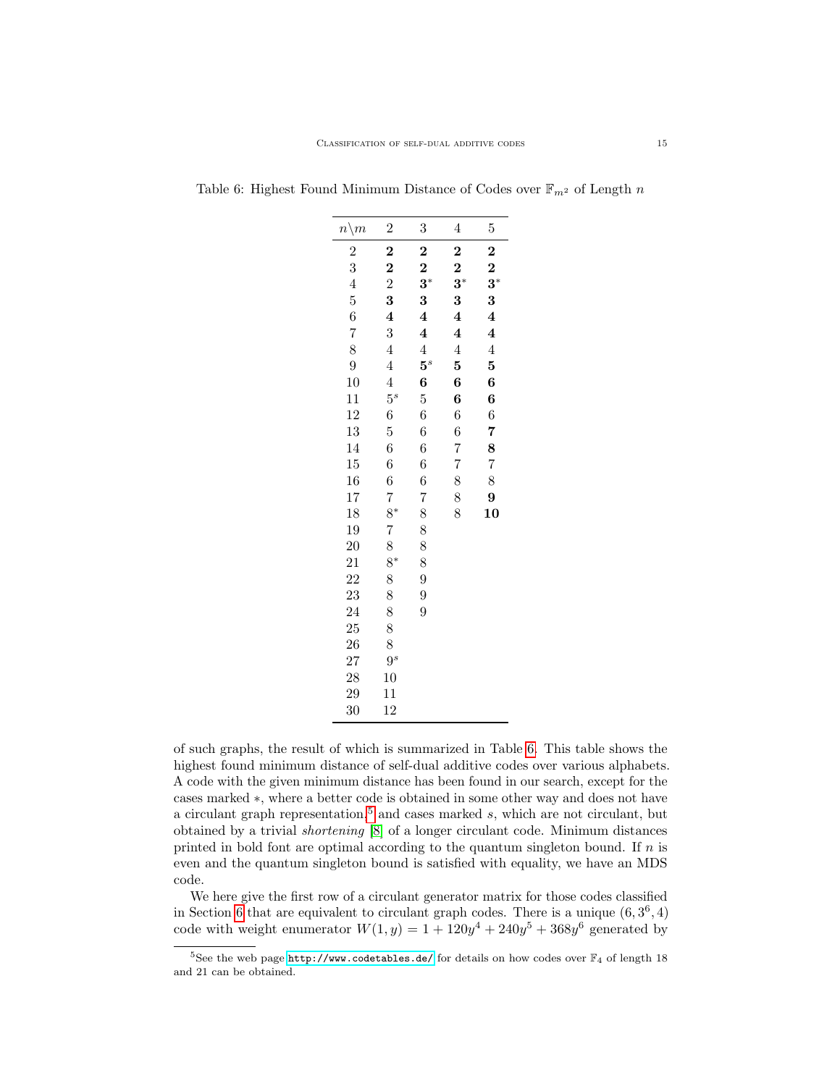| $n \backslash m$ | $\overline{c}$          | 3                       | $\overline{4}$          | $\overline{5}$          |
|------------------|-------------------------|-------------------------|-------------------------|-------------------------|
| $\overline{c}$   | $\bf{z}$                | $\bf{2}$                | $\overline{c}$          | $\bf{2}$                |
| 3                | $\overline{\mathbf{c}}$ | $\overline{2}$          | $\frac{2}{3^*}$         | $\bf{2}$                |
| $\overline{4}$   | $\overline{2}$          | $3^*$                   |                         | $3^*$                   |
| $\overline{5}$   | 3                       | 3                       | $\bf{3}$                | 3                       |
| 6                | $\overline{\mathbf{4}}$ | $\overline{\mathbf{4}}$ | $\overline{\mathbf{4}}$ | $\overline{\mathbf{4}}$ |
| $\overline{7}$   | 3                       | $\overline{\mathbf{4}}$ | $\overline{\mathbf{4}}$ | $\overline{\mathbf{4}}$ |
| 8                | $\overline{4}$          | $\overline{4}$          | $\overline{4}$          | $\overline{4}$          |
| 9                | $\overline{4}$          | $5^s$                   | 5                       | 5                       |
| 10               | $\overline{4}$          | 6                       | 6                       | 6                       |
| 11               | $5^s$                   | $\overline{5}$          | 6                       | 6                       |
| 12               | 6                       | 6                       | 6                       | 6                       |
| 13               | $\overline{5}$          | 6                       | 6                       | 7                       |
| 14               | 6                       | 6                       | $\overline{7}$          | 8                       |
| $15\,$           | 6                       | 6                       | 7                       | $\overline{7}$          |
| 16               | 6                       | 6                       | 8                       | 8                       |
| 17               | $\overline{7}$          | 7                       | 8                       | 9                       |
| 18               | $8^*$                   | 8                       | 8                       | 10                      |
| 19               | $\overline{7}$          | 8                       |                         |                         |
| 20               | 8                       | 8                       |                         |                         |
| 21               | $8*$                    | 8                       |                         |                         |
| 22               | 8                       | 9                       |                         |                         |
| 23               | 8                       | 9                       |                         |                         |
| 24               | 8                       | 9                       |                         |                         |
| 25               | 8                       |                         |                         |                         |
| <b>26</b>        | 8                       |                         |                         |                         |
| 27               | $9^s$                   |                         |                         |                         |
| 28               | 10                      |                         |                         |                         |
| 29               | 11                      |                         |                         |                         |
| 30               | 12                      |                         |                         |                         |

<span id="page-14-0"></span>Table 6: Highest Found Minimum Distance of Codes over  $\mathbb{F}_{m^2}$  of Length n

of such graphs, the result of which is summarized in Table [6.](#page-14-0) This table shows the highest found minimum distance of self-dual additive codes over various alphabets. A code with the given minimum distance has been found in our search, except for the cases marked ∗, where a better code is obtained in some other way and does not have a circulant graph representation,<sup>[5](#page-14-1)</sup> and cases marked  $s$ , which are not circulant, but obtained by a trivial shortening [\[8\]](#page-18-9) of a longer circulant code. Minimum distances printed in bold font are optimal according to the quantum singleton bound. If  $n$  is even and the quantum singleton bound is satisfied with equality, we have an MDS code.

We here give the first row of a circulant generator matrix for those codes classified in Section [6](#page-10-0) that are equivalent to circulant graph codes. There is a unique  $(6,3^6,4)$ code with weight enumerator  $W(1, y) = 1 + 120y^4 + 240y^5 + 368y^6$  generated by

<span id="page-14-1"></span> $^5$ See the web page  $\texttt{http://www.codetables.de/}$  $\texttt{http://www.codetables.de/}$  $\texttt{http://www.codetables.de/}$  for details on how codes over  $\mathbb{F}_4$  of length 18 and 21 can be obtained.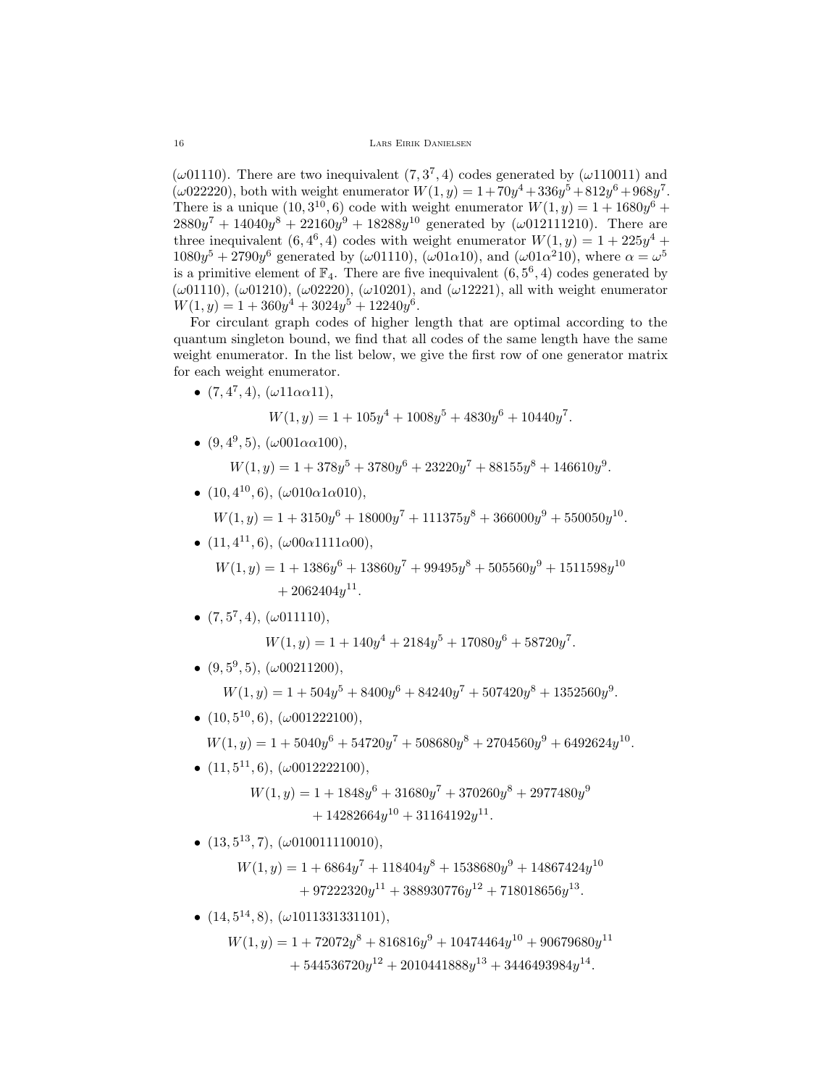( $\omega$ 01110). There are two inequivalent (7, 3<sup>7</sup>, 4) codes generated by ( $\omega$ 110011) and  $(\omega 022220)$ , both with weight enumerator  $W(1, y) = 1 + 70y^4 + 336y^5 + 812y^6 + 968y^7$ . There is a unique  $(10,3^{10},6)$  code with weight enumerator  $W(1,y) = 1 + 1680y^6 +$  $2880y^7 + 14040y^8 + 22160y^9 + 18288y^{10}$  generated by ( $\omega$ 012111210). There are three inequivalent  $(6, 4^6, 4)$  codes with weight enumerator  $W(1, y) = 1 + 225y^4 +$  $1080y^5 + 2790y^6$  generated by ( $\omega$ 01110), ( $\omega$ 01 $\alpha$ 10), and ( $\omega$ 01 $\alpha$ <sup>2</sup>10), where  $\alpha = \omega^5$ is a primitive element of  $\mathbb{F}_4$ . There are five inequivalent  $(6, 5^6, 4)$  codes generated by  $(\omega 01110)$ ,  $(\omega 01210)$ ,  $(\omega 02220)$ ,  $(\omega 10201)$ , and  $(\omega 12221)$ , all with weight enumerator  $W(1, y) = 1 + 360y^4 + 3024y^5 + 12240y^6$ .

For circulant graph codes of higher length that are optimal according to the quantum singleton bound, we find that all codes of the same length have the same weight enumerator. In the list below, we give the first row of one generator matrix for each weight enumerator.

•  $(7, 4^7, 4), (\omega 11 \alpha \alpha 11),$ 

$$
W(1, y) = 1 + 105y^{4} + 1008y^{5} + 4830y^{6} + 10440y^{7}.
$$

•  $(9, 4^9, 5), (\omega 001 \alpha \alpha 100),$ 

$$
W(1,y) = 1 + 378y^5 + 3780y^6 + 23220y^7 + 88155y^8 + 146610y^9.
$$

•  $(10, 4^{10}, 6), (\omega 010\alpha 1\alpha 010),$ 

$$
W(1, y) = 1 + 3150y^{6} + 18000y^{7} + 111375y^{8} + 366000y^{9} + 550050y^{10}.
$$

•  $(11, 4^{11}, 6), (\omega 00\alpha 1111\alpha 00),$ 

 $W(1,y) = 1 + 1386y^6 + 13860y^7 + 99495y^8 + 505560y^9 + 1511598y^{10}$  $+2062404y^{11}.$ 

•  $(7, 5^7, 4)$ ,  $(\omega 011110)$ ,

$$
W(1, y) = 1 + 140y^{4} + 2184y^{5} + 17080y^{6} + 58720y^{7}.
$$

•  $(9,5^9,5)$ ,  $(\omega 00211200)$ ,

$$
W(1, y) = 1 + 504y^{5} + 8400y^{6} + 84240y^{7} + 507420y^{8} + 1352560y^{9}.
$$

•  $(10, 5^{10}, 6), (\omega 001222100),$ 

$$
W(1, y) = 1 + 5040y^{6} + 54720y^{7} + 508680y^{8} + 2704560y^{9} + 6492624y^{10}.
$$

•  $(11, 5^{11}, 6)$ ,  $(\omega 0012222100)$ ,

$$
W(1, y) = 1 + 1848y^{6} + 31680y^{7} + 370260y^{8} + 2977480y^{9}
$$
  
+ 14282664y<sup>10</sup> + 31164192y<sup>11</sup>.

•  $(13, 5^{13}, 7), (\omega 010011110010),$ 

$$
W(1, y) = 1 + 6864y^{7} + 118404y^{8} + 1538680y^{9} + 14867424y^{10}
$$
  
+ 97222320y<sup>11</sup> + 388930776y<sup>12</sup> + 718018656y<sup>13</sup>.

•  $(14, 5^{14}, 8), (\omega 1011331331101),$ 

$$
W(1, y) = 1 + 72072y^{8} + 816816y^{9} + 10474464y^{10} + 90679680y^{11} + 544536720y^{12} + 2010441888y^{13} + 3446493984y^{14}.
$$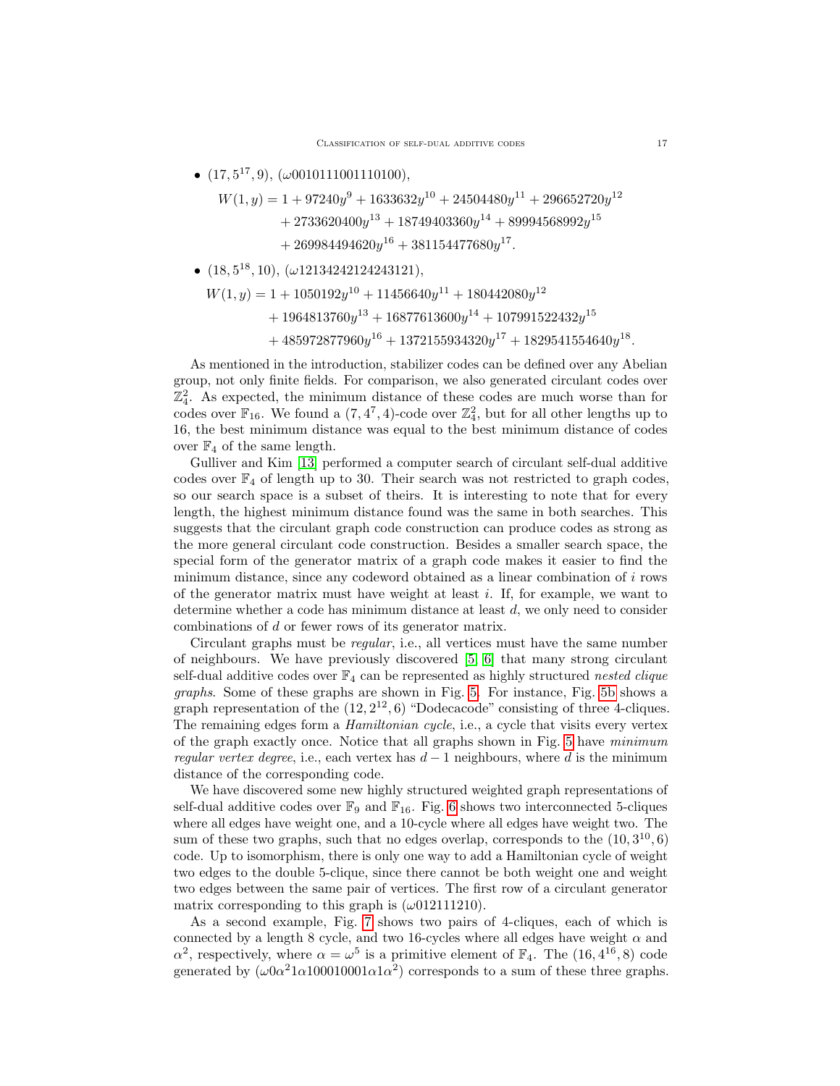•  $(17, 5^{17}, 9)$ ,  $(\omega 0010111001110100)$ ,

$$
W(1,y) = 1 + 97240y^{9} + 1633632y^{10} + 24504480y^{11} + 296652720y^{12}
$$
  
+ 2733620400y<sup>13</sup> + 18749403360y<sup>14</sup> + 89994568992y<sup>15</sup>  
+ 269984494620y<sup>16</sup> + 381154477680y<sup>17</sup>.

 $\bullet$   $(18, 5^{18}, 10), (\omega 12134242124243121),$ 

$$
\begin{aligned} W(1,y) &= 1 + 1050192 y^{10} + 11456640 y^{11} + 180442080 y^{12} \\&\quad + 1964813760 y^{13} + 16877613600 y^{14} + 107991522432 y^{15} \\&\quad + 485972877960 y^{16} + 1372155934320 y^{17} + 1829541554640 y^{18}. \end{aligned}
$$

As mentioned in the introduction, stabilizer codes can be defined over any Abelian group, not only finite fields. For comparison, we also generated circulant codes over  $\mathbb{Z}_4^2$ . As expected, the minimum distance of these codes are much worse than for codes over  $\mathbb{F}_{16}$ . We found a  $(7, 4^7, 4)$ -code over  $\mathbb{Z}_4^2$ , but for all other lengths up to 16, the best minimum distance was equal to the best minimum distance of codes over  $\mathbb{F}_4$  of the same length.

Gulliver and Kim [\[13\]](#page-19-14) performed a computer search of circulant self-dual additive codes over  $\mathbb{F}_4$  of length up to 30. Their search was not restricted to graph codes, so our search space is a subset of theirs. It is interesting to note that for every length, the highest minimum distance found was the same in both searches. This suggests that the circulant graph code construction can produce codes as strong as the more general circulant code construction. Besides a smaller search space, the special form of the generator matrix of a graph code makes it easier to find the minimum distance, since any codeword obtained as a linear combination of  $i$  rows of the generator matrix must have weight at least  $i$ . If, for example, we want to determine whether a code has minimum distance at least  $d$ , we only need to consider combinations of d or fewer rows of its generator matrix.

Circulant graphs must be regular, i.e., all vertices must have the same number of neighbours. We have previously discovered [\[5,](#page-18-10) [6\]](#page-18-11) that many strong circulant self-dual additive codes over  $\mathbb{F}_4$  can be represented as highly structured nested clique graphs. Some of these graphs are shown in Fig. [5.](#page-17-0) For instance, Fig. [5b](#page-17-1) shows a graph representation of the  $(12, 2^{12}, 6)$  "Dodecacode" consisting of three 4-cliques. The remaining edges form a *Hamiltonian cycle*, i.e., a cycle that visits every vertex of the graph exactly once. Notice that all graphs shown in Fig. [5](#page-17-0) have minimum regular vertex degree, i.e., each vertex has  $d-1$  neighbours, where d is the minimum distance of the corresponding code.

We have discovered some new highly structured weighted graph representations of self-dual additive codes over  $\mathbb{F}_9$  and  $\mathbb{F}_{16}$ . Fig. [6](#page-17-2) shows two interconnected 5-cliques where all edges have weight one, and a 10-cycle where all edges have weight two. The sum of these two graphs, such that no edges overlap, corresponds to the  $(10,3^{10},6)$ code. Up to isomorphism, there is only one way to add a Hamiltonian cycle of weight two edges to the double 5-clique, since there cannot be both weight one and weight two edges between the same pair of vertices. The first row of a circulant generator matrix corresponding to this graph is  $(\omega 012111210)$ .

As a second example, Fig. [7](#page-18-12) shows two pairs of 4-cliques, each of which is connected by a length 8 cycle, and two 16-cycles where all edges have weight  $\alpha$  and  $\alpha^2$ , respectively, where  $\alpha = \omega^5$  is a primitive element of  $\mathbb{F}_4$ . The  $(16, 4^{16}, 8)$  code generated by  $(\omega 0 \alpha^2 1 \alpha 10001 0001 \alpha 1 \alpha^2)$  corresponds to a sum of these three graphs.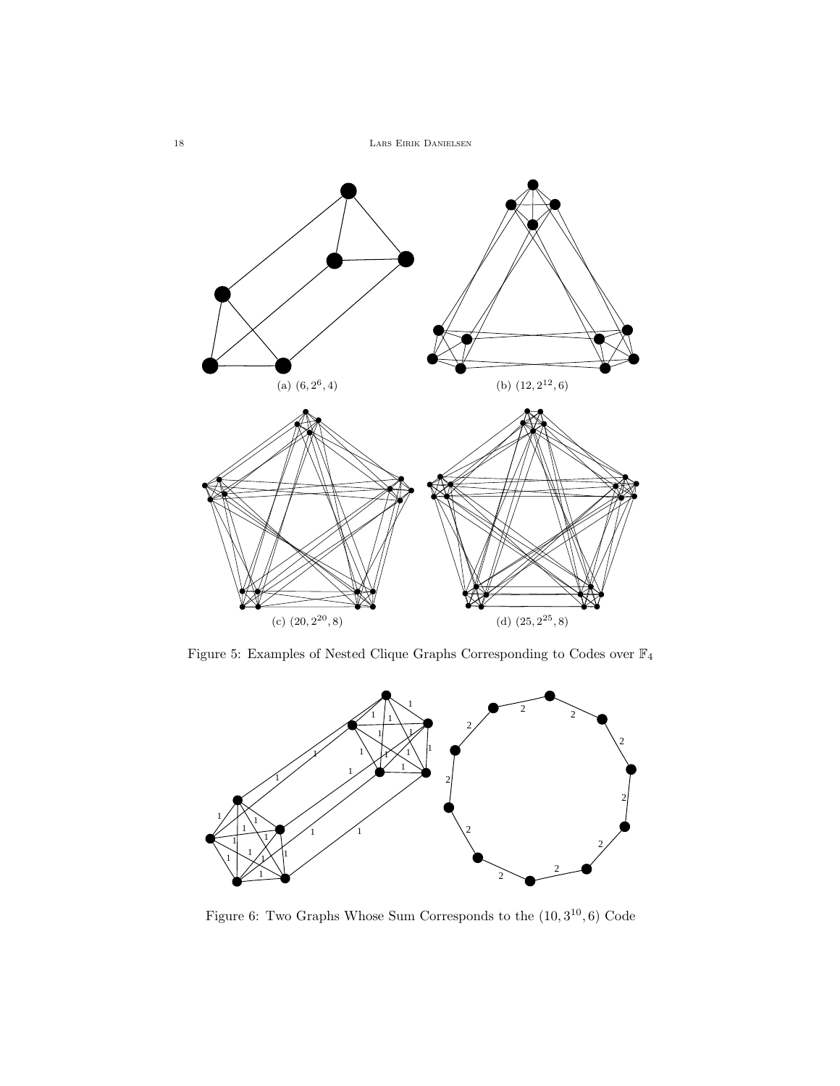<span id="page-17-1"></span>

<span id="page-17-0"></span>Figure 5: Examples of Nested Clique Graphs Corresponding to Codes over  $\mathbb{F}_4$ 



<span id="page-17-2"></span>Figure 6: Two Graphs Whose Sum Corresponds to the  $(10,3^{10},6)$  Code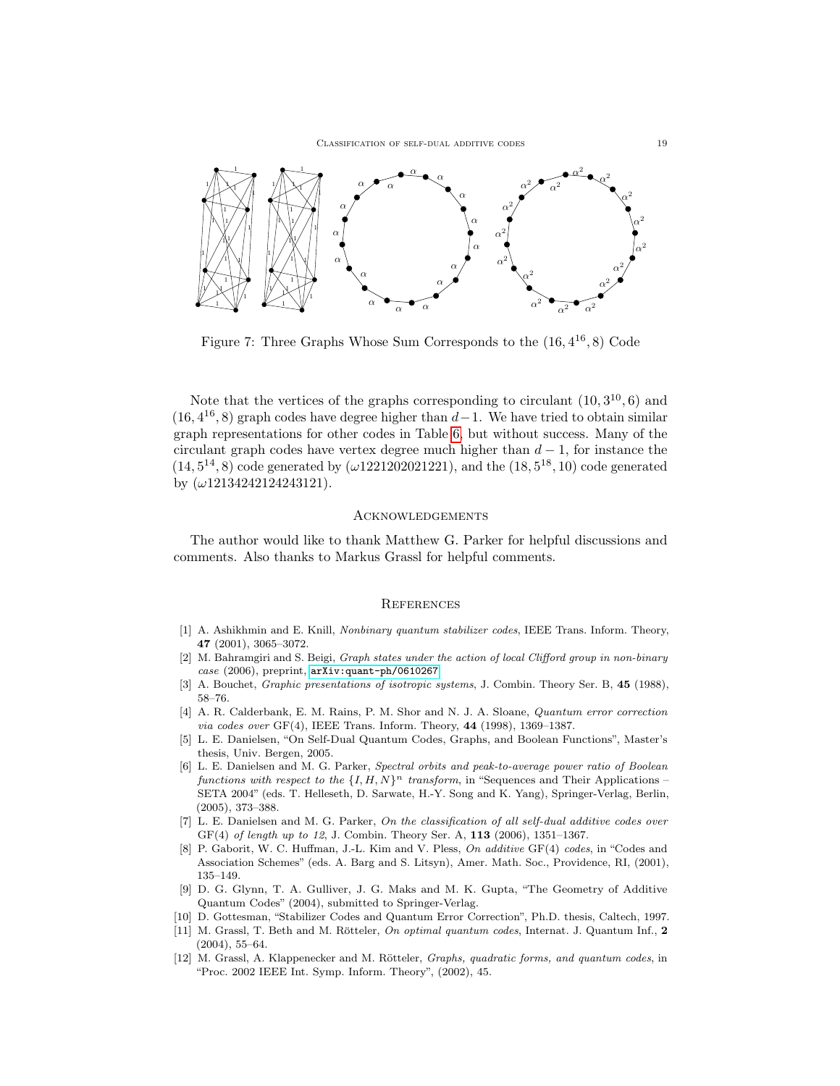

<span id="page-18-12"></span>Figure 7: Three Graphs Whose Sum Corresponds to the  $(16, 4^{16}, 8)$  Code

Note that the vertices of the graphs corresponding to circulant  $(10, 3^{10}, 6)$  and  $(16, 4^{16}, 8)$  graph codes have degree higher than  $d-1$ . We have tried to obtain similar graph representations for other codes in Table [6,](#page-14-0) but without success. Many of the circulant graph codes have vertex degree much higher than  $d-1$ , for instance the  $(14, 5^{14}, 8)$  code generated by  $(\omega 1221202021221)$ , and the  $(18, 5^{18}, 10)$  code generated by  $(\omega 12134242124243121)$ .

### **ACKNOWLEDGEMENTS**

The author would like to thank Matthew G. Parker for helpful discussions and comments. Also thanks to Markus Grassl for helpful comments.

# **REFERENCES**

- <span id="page-18-1"></span>[1] A. Ashikhmin and E. Knill, *Nonbinary quantum stabilizer codes*, IEEE Trans. Inform. Theory, 47 (2001), 3065–3072.
- <span id="page-18-7"></span>[2] M. Bahramgiri and S. Beigi, Graph states under the action of local Clifford group in non-binary case (2006), preprint, [arXiv:quant-ph/0610267](http://arxiv.org/pdf/quant-ph/0610267)
- <span id="page-18-4"></span>[3] A. Bouchet, *Graphic presentations of isotropic systems*, J. Combin. Theory Ser. B, 45 (1988), 58–76.
- <span id="page-18-0"></span>[4] A. R. Calderbank, E. M. Rains, P. M. Shor and N. J. A. Sloane, Quantum error correction via codes over GF(4), IEEE Trans. Inform. Theory, 44 (1998), 1369–1387.
- <span id="page-18-10"></span>[5] L. E. Danielsen, "On Self-Dual Quantum Codes, Graphs, and Boolean Functions", Master's thesis, Univ. Bergen, 2005.
- <span id="page-18-11"></span>[6] L. E. Danielsen and M. G. Parker, Spectral orbits and peak-to-average power ratio of Boolean functions with respect to the  $\{I, H, N\}^n$  transform, in "Sequences and Their Applications – SETA 2004" (eds. T. Helleseth, D. Sarwate, H.-Y. Song and K. Yang), Springer-Verlag, Berlin, (2005), 373–388.
- <span id="page-18-6"></span>[7] L. E. Danielsen and M. G. Parker, On the classification of all self-dual additive codes over GF(4) of length up to 12, J. Combin. Theory Ser. A, 113 (2006), 1351–1367.
- <span id="page-18-9"></span>[8] P. Gaborit, W. C. Huffman, J.-L. Kim and V. Pless, On additive GF(4) codes, in "Codes and Association Schemes" (eds. A. Barg and S. Litsyn), Amer. Math. Soc., Providence, RI, (2001), 135–149.
- <span id="page-18-5"></span>[9] D. G. Glynn, T. A. Gulliver, J. G. Maks and M. K. Gupta, "The Geometry of Additive Quantum Codes" (2004), submitted to Springer-Verlag.
- <span id="page-18-8"></span>[10] D. Gottesman, "Stabilizer Codes and Quantum Error Correction", Ph.D. thesis, Caltech, 1997.
- <span id="page-18-2"></span>[11] M. Grassl, T. Beth and M. Rötteler, On optimal quantum codes, Internat. J. Quantum Inf., 2 (2004), 55–64.
- <span id="page-18-3"></span>[12] M. Grassl, A. Klappenecker and M. Rötteler, *Graphs, quadratic forms, and quantum codes*, in "Proc. 2002 IEEE Int. Symp. Inform. Theory", (2002), 45.